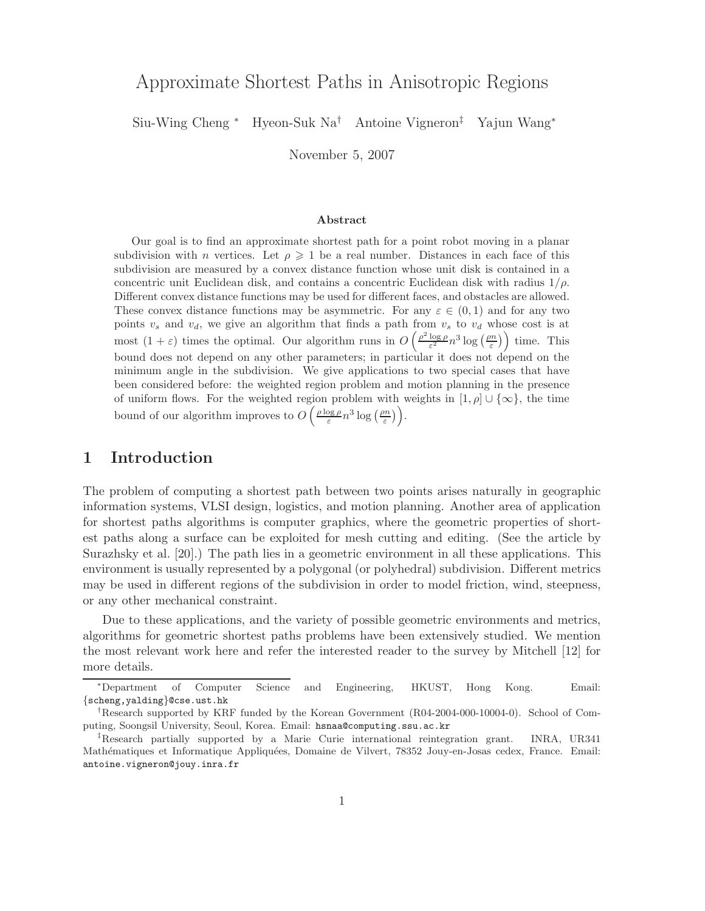# Approximate Shortest Paths in Anisotropic Regions

Siu-Wing Cheng <sup>∗</sup> Hyeon-Suk Na† Antoine Vigneron‡ Yajun Wang<sup>∗</sup>

November 5, 2007

### Abstract

Our goal is to find an approximate shortest path for a point robot moving in a planar subdivision with *n* vertices. Let  $\rho \geq 1$  be a real number. Distances in each face of this subdivision are measured by a convex distance function whose unit disk is contained in a concentric unit Euclidean disk, and contains a concentric Euclidean disk with radius  $1/\rho$ . Different convex distance functions may be used for different faces, and obstacles are allowed. These convex distance functions may be asymmetric. For any  $\varepsilon \in (0,1)$  and for any two points  $v_s$  and  $v_d$ , we give an algorithm that finds a path from  $v_s$  to  $v_d$  whose cost is at most  $(1+\varepsilon)$  times the optimal. Our algorithm runs in  $O\left(\frac{\rho^2 \log \rho}{\varepsilon^2} n^3 \log\left(\frac{\rho n}{\varepsilon}\right)\right)$  time. This bound does not depend on any other parameters; in particular it does not depend on the minimum angle in the subdivision. We give applications to two special cases that have been considered before: the weighted region problem and motion planning in the presence of uniform flows. For the weighted region problem with weights in  $[1, \rho] \cup {\infty}$ , the time bound of our algorithm improves to  $O\left(\frac{\rho \log \rho}{\varepsilon} n^3 \log\left(\frac{\rho n}{\varepsilon}\right)\right)$ .

## 1 Introduction

The problem of computing a shortest path between two points arises naturally in geographic information systems, VLSI design, logistics, and motion planning. Another area of application for shortest paths algorithms is computer graphics, where the geometric properties of shortest paths along a surface can be exploited for mesh cutting and editing. (See the article by Surazhsky et al. [20].) The path lies in a geometric environment in all these applications. This environment is usually represented by a polygonal (or polyhedral) subdivision. Different metrics may be used in different regions of the subdivision in order to model friction, wind, steepness, or any other mechanical constraint.

Due to these applications, and the variety of possible geometric environments and metrics, algorithms for geometric shortest paths problems have been extensively studied. We mention the most relevant work here and refer the interested reader to the survey by Mitchell [12] for more details.

<sup>∗</sup>Department of Computer Science and Engineering, HKUST, Hong Kong. Email: {scheng,yalding}@cse.ust.hk

<sup>†</sup>Research supported by KRF funded by the Korean Government (R04-2004-000-10004-0). School of Computing, Soongsil University, Seoul, Korea. Email: hsnaa@computing.ssu.ac.kr

<sup>‡</sup>Research partially supported by a Marie Curie international reintegration grant. INRA, UR341 Mathématiques et Informatique Appliquées, Domaine de Vilvert, 78352 Jouy-en-Josas cedex, France. Email: antoine.vigneron@jouy.inra.fr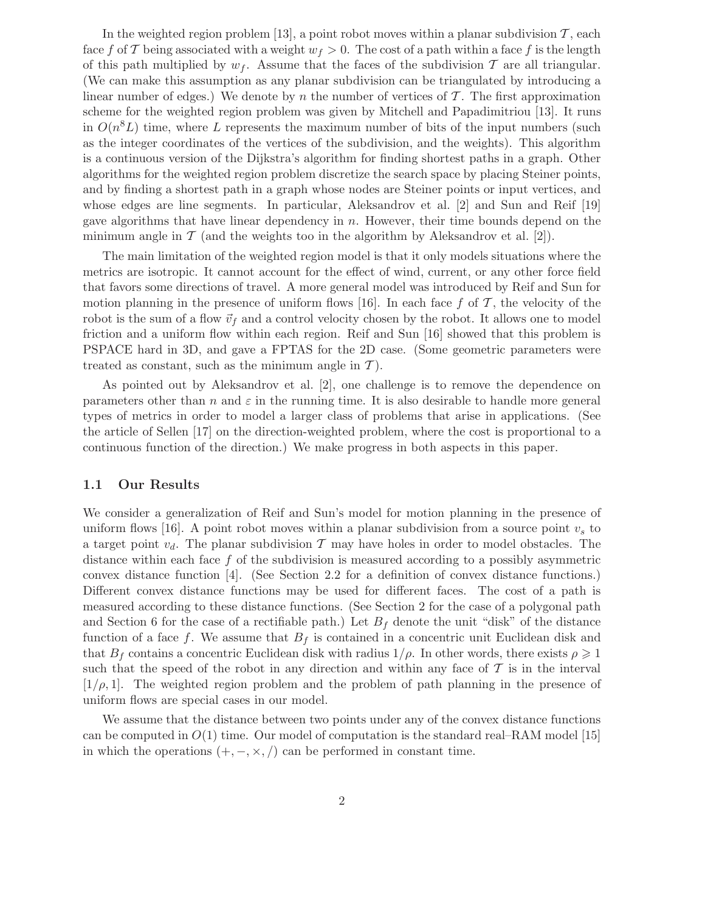In the weighted region problem [13], a point robot moves within a planar subdivision  $\mathcal{T}$ , each face f of T being associated with a weight  $w_f > 0$ . The cost of a path within a face f is the length of this path multiplied by  $w_f$ . Assume that the faces of the subdivision T are all triangular. (We can make this assumption as any planar subdivision can be triangulated by introducing a linear number of edges.) We denote by n the number of vertices of  $\mathcal T$ . The first approximation scheme for the weighted region problem was given by Mitchell and Papadimitriou [13]. It runs in  $O(n^8L)$  time, where L represents the maximum number of bits of the input numbers (such as the integer coordinates of the vertices of the subdivision, and the weights). This algorithm is a continuous version of the Dijkstra's algorithm for finding shortest paths in a graph. Other algorithms for the weighted region problem discretize the search space by placing Steiner points, and by finding a shortest path in a graph whose nodes are Steiner points or input vertices, and whose edges are line segments. In particular, Aleksandrov et al. [2] and Sun and Reif [19] gave algorithms that have linear dependency in  $n$ . However, their time bounds depend on the minimum angle in  $\mathcal T$  (and the weights too in the algorithm by Aleksandrov et al. [2]).

The main limitation of the weighted region model is that it only models situations where the metrics are isotropic. It cannot account for the effect of wind, current, or any other force field that favors some directions of travel. A more general model was introduced by Reif and Sun for motion planning in the presence of uniform flows [16]. In each face f of  $\mathcal T$ , the velocity of the robot is the sum of a flow  $\vec{v}_f$  and a control velocity chosen by the robot. It allows one to model friction and a uniform flow within each region. Reif and Sun [16] showed that this problem is PSPACE hard in 3D, and gave a FPTAS for the 2D case. (Some geometric parameters were treated as constant, such as the minimum angle in  $\mathcal{T}$ ).

As pointed out by Aleksandrov et al. [2], one challenge is to remove the dependence on parameters other than n and  $\varepsilon$  in the running time. It is also desirable to handle more general types of metrics in order to model a larger class of problems that arise in applications. (See the article of Sellen [17] on the direction-weighted problem, where the cost is proportional to a continuous function of the direction.) We make progress in both aspects in this paper.

### 1.1 Our Results

We consider a generalization of Reif and Sun's model for motion planning in the presence of uniform flows [16]. A point robot moves within a planar subdivision from a source point  $v<sub>s</sub>$  to a target point  $v_d$ . The planar subdivision T may have holes in order to model obstacles. The distance within each face  $f$  of the subdivision is measured according to a possibly asymmetric convex distance function [4]. (See Section 2.2 for a definition of convex distance functions.) Different convex distance functions may be used for different faces. The cost of a path is measured according to these distance functions. (See Section 2 for the case of a polygonal path and Section 6 for the case of a rectifiable path.) Let  $B_f$  denote the unit "disk" of the distance function of a face f. We assume that  $B_f$  is contained in a concentric unit Euclidean disk and that  $B_f$  contains a concentric Euclidean disk with radius  $1/\rho$ . In other words, there exists  $\rho \geq 1$ such that the speed of the robot in any direction and within any face of  $\mathcal T$  is in the interval  $[1/\rho, 1]$ . The weighted region problem and the problem of path planning in the presence of uniform flows are special cases in our model.

We assume that the distance between two points under any of the convex distance functions can be computed in  $O(1)$  time. Our model of computation is the standard real–RAM model [15] in which the operations  $(+, -, \times, /)$  can be performed in constant time.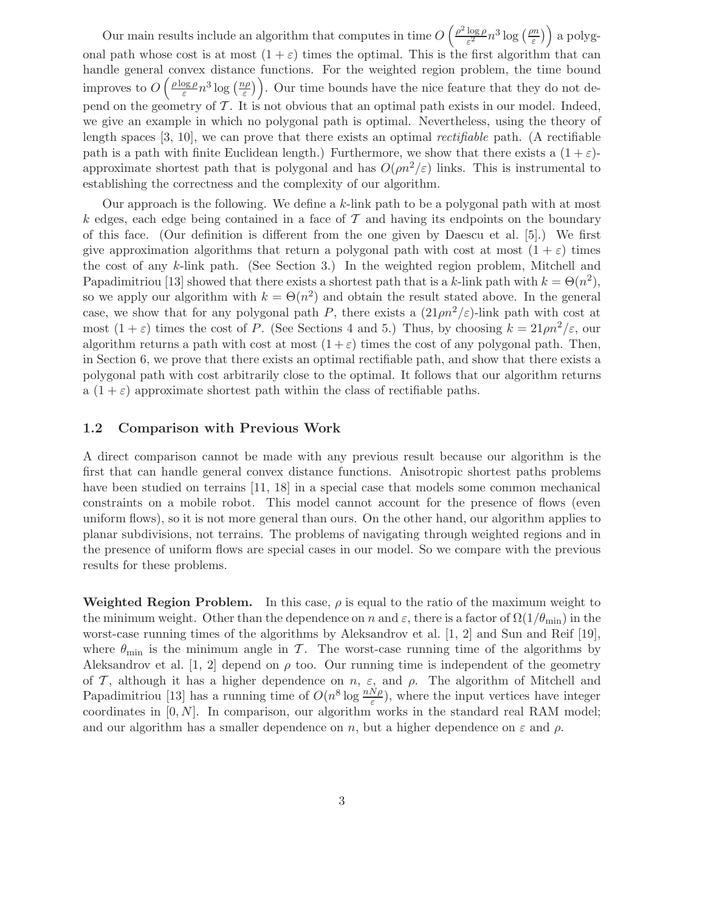Our main results include an algorithm that computes in time  $O\left(\frac{\rho^2 \log \rho}{\epsilon^2}\right)$  $\frac{\log \rho}{\varepsilon^2} n^3 \log \left( \frac{\rho n}{\varepsilon} \right)$  $\left(\frac{dm}{\varepsilon}\right)$  a polygonal path whose cost is at most  $(1 + \varepsilon)$  times the optimal. This is the first algorithm that can handle general convex distance functions. For the weighted region problem, the time bound improves to  $O\left(\frac{\rho\log\rho}{\varepsilon}\right)$  $\frac{\log \rho}{\varepsilon} n^3 \log \left( \frac{n\rho}{\varepsilon} \right)$ . Our time bounds have the nice feature that they do not depend on the geometry of  $\mathcal T$ . It is not obvious that an optimal path exists in our model. Indeed, we give an example in which no polygonal path is optimal. Nevertheless, using the theory of length spaces  $[3, 10]$ , we can prove that there exists an optimal *rectifiable* path. (A rectifiable path is a path with finite Euclidean length.) Furthermore, we show that there exists a  $(1+\varepsilon)$ approximate shortest path that is polygonal and has  $O(\rho n^2/\epsilon)$  links. This is instrumental to establishing the correctness and the complexity of our algorithm.

Our approach is the following. We define a k-link path to be a polygonal path with at most k edges, each edge being contained in a face of  $\mathcal T$  and having its endpoints on the boundary of this face. (Our definition is different from the one given by Daescu et al. [5].) We first give approximation algorithms that return a polygonal path with cost at most  $(1 + \varepsilon)$  times the cost of any k-link path. (See Section 3.) In the weighted region problem, Mitchell and Papadimitriou [13] showed that there exists a shortest path that is a k-link path with  $k = \Theta(n^2)$ , so we apply our algorithm with  $k = \Theta(n^2)$  and obtain the result stated above. In the general case, we show that for any polygonal path P, there exists a  $(21 \rho n^2/\epsilon)$ -link path with cost at most  $(1 + \varepsilon)$  times the cost of P. (See Sections 4 and 5.) Thus, by choosing  $k = 21 \rho n^2/\varepsilon$ , our algorithm returns a path with cost at most  $(1+\varepsilon)$  times the cost of any polygonal path. Then, in Section 6, we prove that there exists an optimal rectifiable path, and show that there exists a polygonal path with cost arbitrarily close to the optimal. It follows that our algorithm returns a  $(1 + \varepsilon)$  approximate shortest path within the class of rectifiable paths.

### 1.2 Comparison with Previous Work

A direct comparison cannot be made with any previous result because our algorithm is the first that can handle general convex distance functions. Anisotropic shortest paths problems have been studied on terrains [11, 18] in a special case that models some common mechanical constraints on a mobile robot. This model cannot account for the presence of flows (even uniform flows), so it is not more general than ours. On the other hand, our algorithm applies to planar subdivisions, not terrains. The problems of navigating through weighted regions and in the presence of uniform flows are special cases in our model. So we compare with the previous results for these problems.

Weighted Region Problem. In this case,  $\rho$  is equal to the ratio of the maximum weight to the minimum weight. Other than the dependence on n and  $\varepsilon$ , there is a factor of  $\Omega(1/\theta_{\min})$  in the worst-case running times of the algorithms by Aleksandrov et al. [1, 2] and Sun and Reif [19], where  $\theta_{\min}$  is the minimum angle in T. The worst-case running time of the algorithms by Aleksandrov et al. [1, 2] depend on  $\rho$  too. Our running time is independent of the geometry of T, although it has a higher dependence on  $n, \varepsilon$ , and  $\rho$ . The algorithm of Mitchell and Papadimitriou [13] has a running time of  $O(n^8 \log \frac{nN\rho}{\varepsilon})$ , where the input vertices have integer coordinates in  $[0, N]$ . In comparison, our algorithm works in the standard real RAM model; and our algorithm has a smaller dependence on n, but a higher dependence on  $\varepsilon$  and  $\rho$ .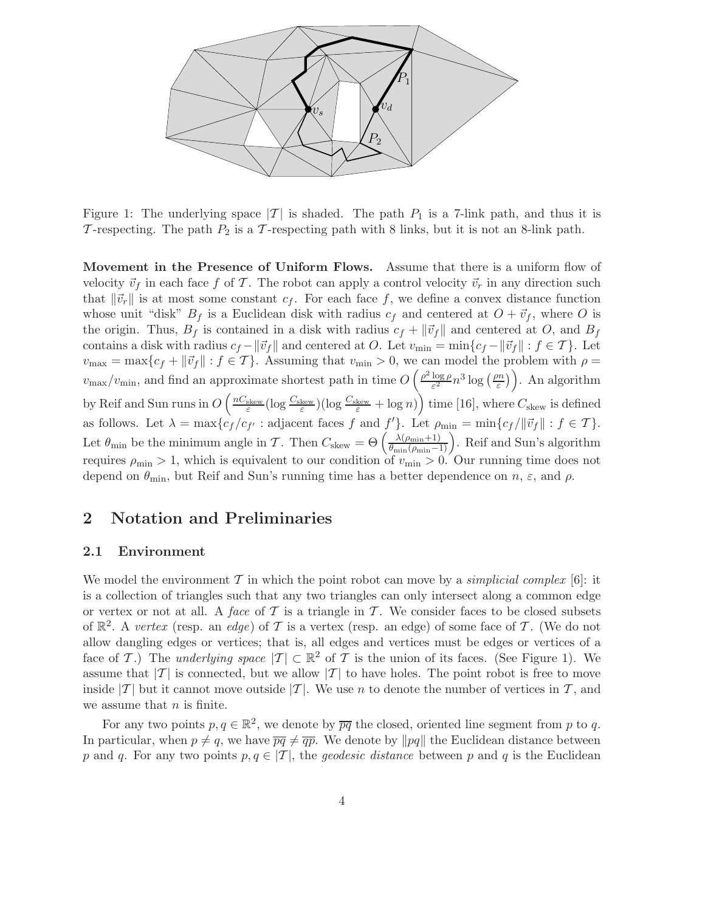

Figure 1: The underlying space  $|T|$  is shaded. The path  $P_1$  is a 7-link path, and thus it is T-respecting. The path  $P_2$  is a T-respecting path with 8 links, but it is not an 8-link path.

Movement in the Presence of Uniform Flows. Assume that there is a uniform flow of velocity  $\vec{v}_f$  in each face f of T. The robot can apply a control velocity  $\vec{v}_r$  in any direction such that  $\|\vec{v}_r\|$  is at most some constant  $c_f$ . For each face f, we define a convex distance function whose unit "disk"  $B_f$  is a Euclidean disk with radius  $c_f$  and centered at  $O + \vec{v}_f$ , where O is the origin. Thus,  $B_f$  is contained in a disk with radius  $c_f + ||\vec{v}_f||$  and centered at O, and  $B_f$ contains a disk with radius  $c_f - ||\vec{v}_f||$  and centered at O. Let  $v_{\min} = \min\{c_f - ||\vec{v}_f|| : f \in \mathcal{T}\}\.$  Let  $v_{\text{max}} = \max\{c_f + ||\vec{v}_f|| : f \in \mathcal{T}\}\$ . Assuming that  $v_{\text{min}} > 0$ , we can model the problem with  $\rho =$  $v_{\text{max}}/v_{\text{min}}$ , and find an approximate shortest path in time  $O\left(\frac{\rho^2 \log \rho}{\varepsilon^2}\right)$  $\frac{\log \rho}{\varepsilon^2} n^3 \log \left( \frac{\rho n}{\varepsilon} \right)$  $\left(\frac{m}{\varepsilon}\right)$ . An algorithm by Reif and Sun runs in  $O\left(\frac{nC_{\text{skew}}}{\varepsilon}(\log \frac{C_{\text{skew}}}{\varepsilon})(\log \frac{C_{\text{skew}}}{\varepsilon} + \log n)\right)$  time [16], where  $C_{\text{skew}}$  is defined as follows. Let  $\lambda = \max\{c_f/c_{f'} : \text{adjacent faces } f \text{ and } f'\}.$  Let  $\rho_{\min} = \min\{c_f/||\vec{v}_f|| : f \in \mathcal{T}\}.$ Let  $\theta_{\min}$  be the minimum angle in T. Then  $C_{\text{skew}} = \Theta\left(\frac{\lambda(\rho_{\min}+1)}{\theta_{\min}(\rho_{\min}-1)}\right)$ . Reif and Sun's algorithm requires  $\rho_{\min} > 1$ , which is equivalent to our condition of  $v_{\min} > 0$ . Our running time does not depend on  $\theta_{\min}$ , but Reif and Sun's running time has a better dependence on n,  $\varepsilon$ , and  $\rho$ .

## 2 Notation and Preliminaries

## 2.1 Environment

We model the environment T in which the point robot can move by a *simplicial complex* [6]: it is a collection of triangles such that any two triangles can only intersect along a common edge or vertex or not at all. A face of T is a triangle in T. We consider faces to be closed subsets of  $\mathbb{R}^2$ . A vertex (resp. an edge) of T is a vertex (resp. an edge) of some face of T. (We do not allow dangling edges or vertices; that is, all edges and vertices must be edges or vertices of a face of T.) The underlying space  $|\mathcal{T}| \subset \mathbb{R}^2$  of T is the union of its faces. (See Figure 1). We assume that  $|T|$  is connected, but we allow  $|T|$  to have holes. The point robot is free to move inside  $|T|$  but it cannot move outside  $|T|$ . We use n to denote the number of vertices in T, and we assume that  $n$  is finite.

For any two points  $p, q \in \mathbb{R}^2$ , we denote by  $\overline{pq}$  the closed, oriented line segment from p to q. In particular, when  $p \neq q$ , we have  $\overline{pq} \neq \overline{qp}$ . We denote by  $\|pq\|$  the Euclidean distance between p and q. For any two points  $p, q \in |{\mathcal{T}}|$ , the geodesic distance between p and q is the Euclidean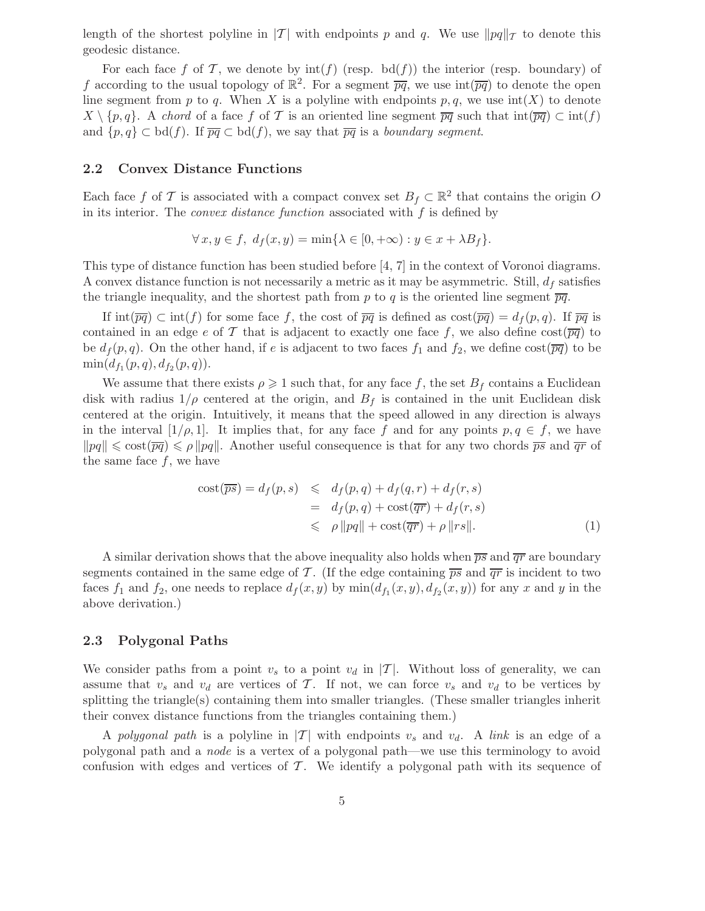length of the shortest polyline in |T| with endpoints p and q. We use  $\|pq\|_{\mathcal{T}}$  to denote this geodesic distance.

For each face f of T, we denote by  $\text{int}(f)$  (resp. bd(f)) the interior (resp. boundary) of f according to the usual topology of  $\mathbb{R}^2$ . For a segment  $\overline{pq}$ , we use  $\text{int}(\overline{pq})$  to denote the open line segment from p to q. When X is a polyline with endpoints  $p, q$ , we use  $\text{int}(X)$  to denote  $X \setminus \{p,q\}$ . A chord of a face f of T is an oriented line segment  $\overline{pq}$  such that  $\text{int}(\overline{pq}) \subset \text{int}(f)$ and  $\{p,q\} \subset \mathrm{bd}(f)$ . If  $\overline{pq} \subset \mathrm{bd}(f)$ , we say that  $\overline{pq}$  is a boundary segment.

#### 2.2 Convex Distance Functions

Each face f of T is associated with a compact convex set  $B_f \subset \mathbb{R}^2$  that contains the origin O in its interior. The *convex distance function* associated with  $f$  is defined by

$$
\forall x, y \in f, \ d_f(x, y) = \min\{\lambda \in [0, +\infty) : y \in x + \lambda B_f\}.
$$

This type of distance function has been studied before [4, 7] in the context of Voronoi diagrams. A convex distance function is not necessarily a metric as it may be asymmetric. Still,  $d_f$  satisfies the triangle inequality, and the shortest path from p to q is the oriented line segment  $\overline{pq}$ .

If  $\text{int}(\overline{pq}) \subset \text{int}(f)$  for some face f, the cost of  $\overline{pq}$  is defined as  $\text{cost}(\overline{pq}) = d_f(p,q)$ . If  $\overline{pq}$  is contained in an edge e of T that is adjacent to exactly one face f, we also define  $\cos\left(\frac{\overline{pq}}{})\right)$  to be  $d_f(p,q)$ . On the other hand, if e is adjacent to two faces  $f_1$  and  $f_2$ , we define  $\cos\left(\overline{pq}\right)$  to be  $\min(d_{f_1}(p,q), d_{f_2}(p,q)).$ 

We assume that there exists  $\rho \geq 1$  such that, for any face f, the set  $B_f$  contains a Euclidean disk with radius  $1/\rho$  centered at the origin, and  $B_f$  is contained in the unit Euclidean disk centered at the origin. Intuitively, it means that the speed allowed in any direction is always in the interval  $[1/\rho, 1]$ . It implies that, for any face f and for any points  $p, q \in f$ , we have  $\|pq\| \leqslant \text{cost}(\overline{pq}) \leqslant \rho \|pq\|$ . Another useful consequence is that for any two chords  $\overline{ps}$  and  $\overline{qr}$  of the same face  $f$ , we have

$$
\begin{aligned} \text{cost}(\overline{ps}) &= d_f(p, s) \leq d_f(p, q) + d_f(q, r) + d_f(r, s) \\ &= d_f(p, q) + \text{cost}(\overline{qr}) + d_f(r, s) \\ &\leqslant \rho \left\|pq\right\| + \text{cost}(\overline{qr}) + \rho \left\|rs\right\|. \end{aligned} \tag{1}
$$

A similar derivation shows that the above inequality also holds when  $\overline{ps}$  and  $\overline{qr}$  are boundary segments contained in the same edge of T. (If the edge containing  $\overline{ps}$  and  $\overline{qr}$  is incident to two faces  $f_1$  and  $f_2$ , one needs to replace  $d_f(x, y)$  by  $\min(d_{f_1}(x, y), d_{f_2}(x, y))$  for any x and y in the above derivation.)

## 2.3 Polygonal Paths

We consider paths from a point  $v_s$  to a point  $v_d$  in  $|T|$ . Without loss of generality, we can assume that  $v_s$  and  $v_d$  are vertices of T. If not, we can force  $v_s$  and  $v_d$  to be vertices by splitting the triangle(s) containing them into smaller triangles. (These smaller triangles inherit their convex distance functions from the triangles containing them.)

A polygonal path is a polyline in  $|T|$  with endpoints  $v_s$  and  $v_d$ . A link is an edge of a polygonal path and a node is a vertex of a polygonal path—we use this terminology to avoid confusion with edges and vertices of  $\mathcal T$ . We identify a polygonal path with its sequence of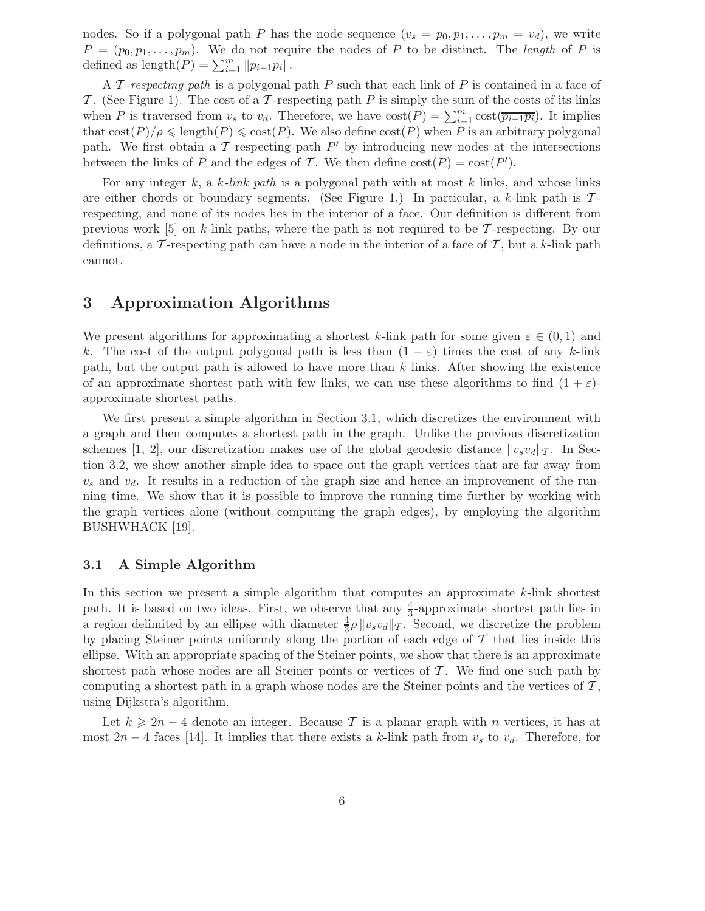nodes. So if a polygonal path P has the node sequence  $(v_s = p_0, p_1, \ldots, p_m = v_d)$ , we write  $P = (p_0, p_1, \ldots, p_m)$ . We do not require the nodes of P to be distinct. The length of P is defined as length $(P) = \sum_{i=1}^{m} ||p_{i-1}p_i||.$ 

A T-respecting path is a polygonal path P such that each link of P is contained in a face of T. (See Figure 1). The cost of a T-respecting path  $P$  is simply the sum of the costs of its links when P is traversed from  $v_s$  to  $v_d$ . Therefore, we have  $cost(P) = \sum_{i=1}^{m} cost(\overline{p_{i-1}p_i})$ . It implies that  $\cot(P)/\rho \leq \text{length}(P) \leq \cot(P)$ . We also define  $\cot(P)$  when P is an arbitrary polygonal path. We first obtain a  $\mathcal T$ -respecting path  $P'$  by introducing new nodes at the intersections between the links of P and the edges of T. We then define  $cost(P) = cost(P')$ .

For any integer k, a k-link path is a polygonal path with at most k links, and whose links are either chords or boundary segments. (See Figure 1.) In particular, a k-link path is  $\mathcal{T}$ respecting, and none of its nodes lies in the interior of a face. Our definition is different from previous work [5] on k-link paths, where the path is not required to be T-respecting. By our definitions, a T-respecting path can have a node in the interior of a face of  $\mathcal{T}$ , but a k-link path cannot.

## 3 Approximation Algorithms

We present algorithms for approximating a shortest k-link path for some given  $\varepsilon \in (0,1)$  and k. The cost of the output polygonal path is less than  $(1 + \varepsilon)$  times the cost of any k-link path, but the output path is allowed to have more than  $k$  links. After showing the existence of an approximate shortest path with few links, we can use these algorithms to find  $(1 + \varepsilon)$ approximate shortest paths.

We first present a simple algorithm in Section 3.1, which discretizes the environment with a graph and then computes a shortest path in the graph. Unlike the previous discretization schemes [1, 2], our discretization makes use of the global geodesic distance  $||v_s v_d||_{\mathcal{T}}$ . In Section 3.2, we show another simple idea to space out the graph vertices that are far away from  $v_s$  and  $v_d$ . It results in a reduction of the graph size and hence an improvement of the running time. We show that it is possible to improve the running time further by working with the graph vertices alone (without computing the graph edges), by employing the algorithm BUSHWHACK [19].

## 3.1 A Simple Algorithm

In this section we present a simple algorithm that computes an approximate  $k$ -link shortest path. It is based on two ideas. First, we observe that any  $\frac{4}{3}$ -approximate shortest path lies in a region delimited by an ellipse with diameter  $\frac{4}{3}\rho \|v_s v_d\|_{\mathcal{T}}$ . Second, we discretize the problem by placing Steiner points uniformly along the portion of each edge of  $\mathcal T$  that lies inside this ellipse. With an appropriate spacing of the Steiner points, we show that there is an approximate shortest path whose nodes are all Steiner points or vertices of  $\mathcal T$ . We find one such path by computing a shortest path in a graph whose nodes are the Steiner points and the vertices of  $\mathcal{T}$ , using Dijkstra's algorithm.

Let  $k \geq 2n-4$  denote an integer. Because T is a planar graph with n vertices, it has at most 2n − 4 faces [14]. It implies that there exists a k-link path from  $v_s$  to  $v_d$ . Therefore, for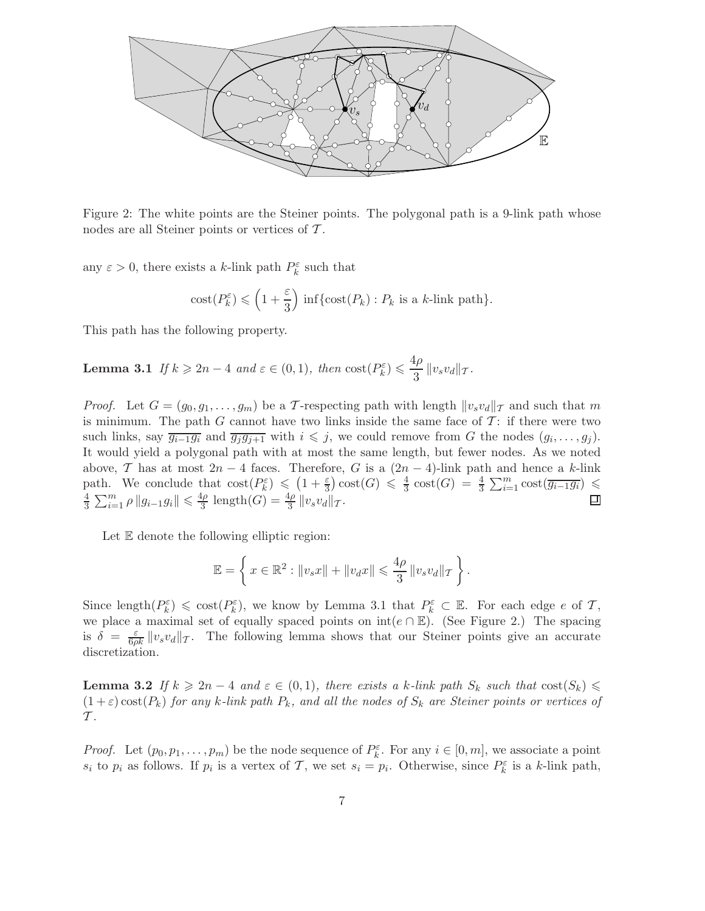

Figure 2: The white points are the Steiner points. The polygonal path is a 9-link path whose nodes are all Steiner points or vertices of T.

any  $\varepsilon > 0$ , there exists a k-link path  $P_k^{\varepsilon}$  such that

$$
cost(P_k^{\varepsilon}) \leq (1 + \frac{\varepsilon}{3}) \inf \{ cost(P_k) : P_k \text{ is a } k\text{-link path} \}.
$$

This path has the following property.

**Lemma 3.1** If  $k \geq 2n - 4$  and  $\varepsilon \in (0, 1)$ , then  $\text{cost}(P_k^{\varepsilon}) \leq \frac{4\rho}{3}$  $rac{P}{3}$   $\|v_s v_d\|$   $\tau$ .

*Proof.* Let  $G = (g_0, g_1, \ldots, g_m)$  be a T-respecting path with length  $||v_s v_d||_T$  and such that m is minimum. The path G cannot have two links inside the same face of  $\mathcal{T}$ : if there were two such links, say  $\overline{g_{i-1}g_i}$  and  $\overline{g_jg_{j+1}}$  with  $i \leq j$ , we could remove from G the nodes  $(g_i, \ldots, g_j)$ . It would yield a polygonal path with at most the same length, but fewer nodes. As we noted above, T has at most  $2n-4$  faces. Therefore, G is a  $(2n-4)$ -link path and hence a k-link path. We conclude that  $\text{cost}(P_k^{\varepsilon}) \leq (1 + \frac{\varepsilon}{3}) \text{cost}(G) \leq \frac{4}{3}$ path. We conclude that  $\text{cost}(P_k^{\varepsilon}) \leq (1 + \frac{\varepsilon}{3}) \text{cost}(G) \leq \frac{4}{3} \text{cost}(G) = \frac{4}{3} \sum_{i=1}^{m} \text{cost}(\overline{g_{i-1}g_i}) \leq \frac{4}{3} \sum_{i=1}^{m} \text{cost}(\overline{g_{i-1}g_i})$  $\frac{4}{3} \sum_{i=1}^{m} \rho \|g_{i-1}g_i\| \leq \frac{4\rho}{3}$  $rac{4\rho}{3}$  length $(G) = \frac{4\rho}{3} ||v_s v_d||_{\mathcal{T}}$ .

Let E denote the following elliptic region:

$$
\mathbb{E} = \left\{ x \in \mathbb{R}^2 : \|v_s x\| + \|v_d x\| \leqslant \frac{4\rho}{3} \|v_s v_d\|_{\mathcal{T}} \right\}.
$$

Since length $(P_k^{\varepsilon}) \leq \text{cost}(P_k^{\varepsilon})$ , we know by Lemma 3.1 that  $P_k^{\varepsilon} \subset \mathbb{E}$ . For each edge e of T, we place a maximal set of equally spaced points on  $int(e \cap E)$ . (See Figure 2.) The spacing is  $\delta = \frac{\varepsilon}{6\rho k} \|v_s v_d\|_{\mathcal{T}}$ . The following lemma shows that our Steiner points give an accurate discretization.

**Lemma 3.2** If  $k \geq 2n - 4$  and  $\varepsilon \in (0,1)$ , there exists a k-link path  $S_k$  such that  $\text{cost}(S_k) \leq$  $(1+\varepsilon)\cos(tP_k)$  for any k-link path  $P_k$ , and all the nodes of  $S_k$  are Steiner points or vertices of  $\mathcal{T}$ .

*Proof.* Let  $(p_0, p_1, \ldots, p_m)$  be the node sequence of  $P_k^{\varepsilon}$ . For any  $i \in [0, m]$ , we associate a point  $s_i$  to  $p_i$  as follows. If  $p_i$  is a vertex of  $\mathcal{T}$ , we set  $s_i = p_i$ . Otherwise, since  $P_k^{\varepsilon}$  is a k-link path,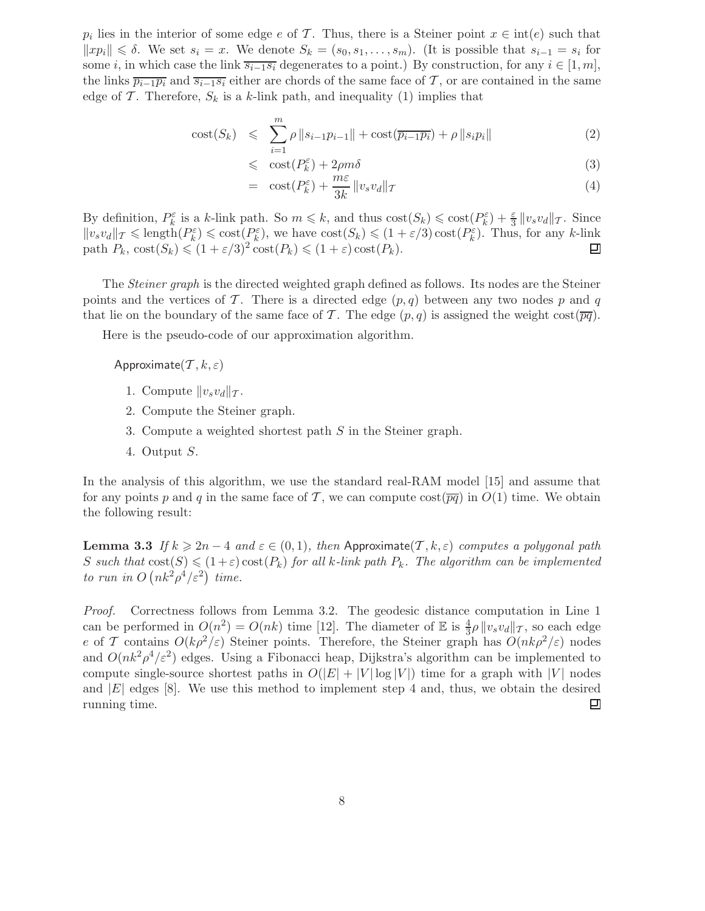$p_i$  lies in the interior of some edge e of T. Thus, there is a Steiner point  $x \in \text{int}(e)$  such that  $||xp_i|| \leq \delta$ . We set  $s_i = x$ . We denote  $S_k = (s_0, s_1, \ldots, s_m)$ . (It is possible that  $s_{i-1} = s_i$  for some i, in which case the link  $\overline{s_{i-1}s_i}$  degenerates to a point.) By construction, for any  $i \in [1, m]$ , the links  $\overline{p_{i-1}p_i}$  and  $\overline{s_{i-1}s_i}$  either are chords of the same face of T, or are contained in the same edge of T. Therefore,  $S_k$  is a k-link path, and inequality (1) implies that

cost(S<sub>k</sub>) 
$$
\leq \sum_{i=1}^{m} \rho ||s_{i-1}p_{i-1}|| + \text{cost}(\overline{p_{i-1}p_i}) + \rho ||s_i p_i||
$$
 (2)

$$
\leqslant \quad \cot(P_k^{\varepsilon}) + 2\rho m\delta \tag{3}
$$

$$
= \ \cos\left(P_k^{\varepsilon}\right) + \frac{m\varepsilon}{3k} \left\|v_s v_d\right\|_{\mathcal{T}} \tag{4}
$$

By definition,  $P_k^{\varepsilon}$  is a k-link path. So  $m \leq k$ , and thus  $\text{cost}(S_k) \leqslant \text{cost}(P_k^{\varepsilon}) + \frac{\varepsilon}{3} ||v_s v_d||_{\mathcal{T}}$ . Since  $||v_s v_d||_{\mathcal{T}} \leqslant \text{length}(P_k^{\varepsilon}) \leqslant \text{cost}(P_k^{\varepsilon})$ , we have  $\text{cost}(S_k) \leqslant (1 + \varepsilon/3) \text{cost}(P_k^{\varepsilon})$ . Thus, for any k-link path  $P_k$ ,  $\text{cost}(S_k) \leq (1 + \varepsilon/3)^2 \text{cost}(P_k) \leq (1 + \varepsilon) \text{cost}(P_k)$ . 回

The Steiner graph is the directed weighted graph defined as follows. Its nodes are the Steiner points and the vertices of T. There is a directed edge  $(p, q)$  between any two nodes p and q that lie on the boundary of the same face of T. The edge  $(p, q)$  is assigned the weight cost( $\overline{pq}$ ).

Here is the pseudo-code of our approximation algorithm.

Approximate $(T, k, \varepsilon)$ 

- 1. Compute  $||v_s v_d||_{\mathcal{T}}$ .
- 2. Compute the Steiner graph.
- 3. Compute a weighted shortest path S in the Steiner graph.
- 4. Output S.

In the analysis of this algorithm, we use the standard real-RAM model [15] and assume that for any points p and q in the same face of T, we can compute  $\cos\left(\overline{pq}\right)$  in  $O(1)$  time. We obtain the following result:

**Lemma 3.3** If  $k \geq 2n - 4$  and  $\varepsilon \in (0, 1)$ , then Approximate(T, k,  $\varepsilon$ ) computes a polygonal path S such that  $cost(S) \leq (1+\varepsilon) cost(P_k)$  for all k-link path  $P_k$ . The algorithm can be implemented to run in  $O(nk^2\rho^4/\varepsilon^2)$  time.

Proof. Correctness follows from Lemma 3.2. The geodesic distance computation in Line 1 can be performed in  $O(n^2) = O(nk)$  time [12]. The diameter of  $\mathbb E$  is  $\frac{4}{3}\rho ||v_s v_d||_{\mathcal{T}}$ , so each edge e of T contains  $O(k\rho^2/\varepsilon)$  Steiner points. Therefore, the Steiner graph has  $O(nk\rho^2/\varepsilon)$  nodes and  $O(nk^2\rho^4/\varepsilon^2)$  edges. Using a Fibonacci heap, Dijkstra's algorithm can be implemented to compute single-source shortest paths in  $O(|E| + |V| \log |V|)$  time for a graph with |V| nodes and |E| edges [8]. We use this method to implement step 4 and, thus, we obtain the desired running time. running time.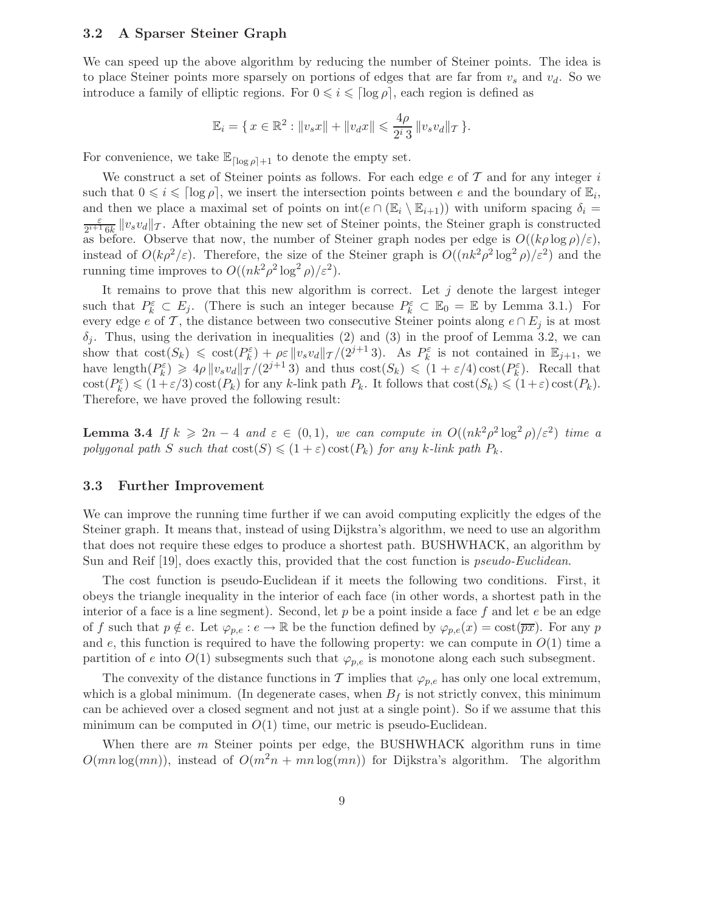## 3.2 A Sparser Steiner Graph

We can speed up the above algorithm by reducing the number of Steiner points. The idea is to place Steiner points more sparsely on portions of edges that are far from  $v_s$  and  $v_d$ . So we introduce a family of elliptic regions. For  $0 \leq i \leq \lceil \log \rho \rceil$ , each region is defined as

$$
\mathbb{E}_i = \{ x \in \mathbb{R}^2 : ||v_s x|| + ||v_d x|| \leqslant \frac{4\rho}{2^i 3} ||v_s v_d||_{\mathcal{T}} \}.
$$

For convenience, we take  $\mathbb{E}_{\lceil \log \rho \rceil+1}$  to denote the empty set.

We construct a set of Steiner points as follows. For each edge  $e$  of  $\mathcal T$  and for any integer i such that  $0 \leq i \leq \lceil \log \rho \rceil$ , we insert the intersection points between e and the boundary of  $\mathbb{E}_i$ , and then we place a maximal set of points on  $int(e \cap (E_i \setminus E_{i+1}))$  with uniform spacing  $\delta_i =$ ε  $\frac{\varepsilon}{2^{i+1} 6k} \|v_s v_d\|_{\mathcal{T}}$ . After obtaining the new set of Steiner points, the Steiner graph is constructed as before. Observe that now, the number of Steiner graph nodes per edge is  $O((k\rho \log \rho)/\varepsilon)$ , instead of  $O(k\rho^2/\varepsilon)$ . Therefore, the size of the Steiner graph is  $O((nk^2\rho^2 \log^2 \rho)/\varepsilon^2)$  and the running time improves to  $O((nk^2 \rho^2 \log^2 \rho)/\varepsilon^2)$ .

It remains to prove that this new algorithm is correct. Let  $j$  denote the largest integer such that  $P_k^{\varepsilon} \subset E_j$ . (There is such an integer because  $P_k^{\varepsilon} \subset \mathbb{E}_0 = \mathbb{E}$  by Lemma 3.1.) For every edge e of T, the distance between two consecutive Steiner points along  $e \cap E_j$  is at most  $\delta_i$ . Thus, using the derivation in inequalities (2) and (3) in the proof of Lemma 3.2, we can show that  $\text{cost}(S_k) \leq \text{cost}(P_k^{\varepsilon}) + \rho \varepsilon ||v_s v_d||_{\mathcal{T}} / (2^{j+1} 3)$ . As  $P_k^{\varepsilon}$  is not contained in  $\mathbb{E}_{j+1}$ , we have length $(P_k^{\varepsilon}) \geq 4\rho \|v_s v_d\|_{\mathcal{T}}/(2^{j+1} \, 3)$  and thus  $\text{cost}(S_k) \leq (1 + \varepsilon/4) \text{cost}(P_k^{\varepsilon})$ . Recall that  $\text{cost}(P_k^{\varepsilon}) \leq (1+\varepsilon/3)\text{cost}(P_k)$  for any k-link path  $P_k$ . It follows that  $\text{cost}(S_k) \leq (1+\varepsilon)\text{cost}(P_k)$ . Therefore, we have proved the following result:

**Lemma 3.4** If  $k \ge 2n - 4$  and  $\varepsilon \in (0,1)$ , we can compute in  $O((nk^2 \rho^2 \log^2 \rho)/\varepsilon^2)$  time a polygonal path S such that  $cost(S) \leq (1+\varepsilon) cost(P_k)$  for any k-link path  $P_k$ .

## 3.3 Further Improvement

We can improve the running time further if we can avoid computing explicitly the edges of the Steiner graph. It means that, instead of using Dijkstra's algorithm, we need to use an algorithm that does not require these edges to produce a shortest path. BUSHWHACK, an algorithm by Sun and Reif [19], does exactly this, provided that the cost function is *pseudo-Euclidean*.

The cost function is pseudo-Euclidean if it meets the following two conditions. First, it obeys the triangle inequality in the interior of each face (in other words, a shortest path in the interior of a face is a line segment). Second, let p be a point inside a face f and let  $e$  be an edge of f such that  $p \notin e$ . Let  $\varphi_{p,e} : e \to \mathbb{R}$  be the function defined by  $\varphi_{p,e}(x) = \cos(\overline{px})$ . For any p and  $e$ , this function is required to have the following property: we can compute in  $O(1)$  time a partition of e into  $O(1)$  subsegments such that  $\varphi_{p,e}$  is monotone along each such subsegment.

The convexity of the distance functions in T implies that  $\varphi_{p,e}$  has only one local extremum, which is a global minimum. (In degenerate cases, when  $B_f$  is not strictly convex, this minimum can be achieved over a closed segment and not just at a single point). So if we assume that this minimum can be computed in  $O(1)$  time, our metric is pseudo-Euclidean.

When there are  $m$  Steiner points per edge, the BUSHWHACK algorithm runs in time  $O(mn \log(mn))$ , instead of  $O(m^2n + mn \log(mn))$  for Dijkstra's algorithm. The algorithm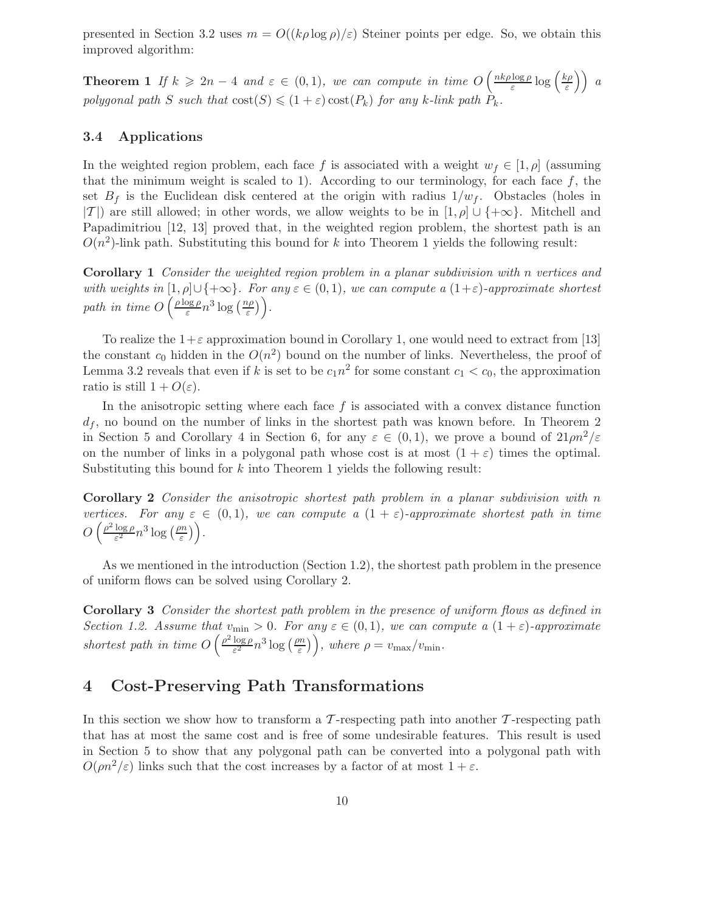presented in Section 3.2 uses  $m = O((k\rho \log \rho)/\varepsilon)$  Steiner points per edge. So, we obtain this improved algorithm:

**Theorem 1** If  $k \ge 2n - 4$  and  $\varepsilon \in (0,1)$ , we can compute in time  $O\left(\frac{nk\rho\log\rho}{\varepsilon}\right)$  $\frac{\log \rho}{\varepsilon} \log \left( \frac{k\rho}{\varepsilon} \right)$  $\left(\frac{c\rho}{\varepsilon}\right)$  a polygonal path S such that  $cost(S) \leq (1+\varepsilon) cost(P_k)$  for any k-link path  $P_k$ .

## 3.4 Applications

In the weighted region problem, each face f is associated with a weight  $w_f \in [1, \rho]$  (assuming that the minimum weight is scaled to 1). According to our terminology, for each face  $f$ , the set  $B_f$  is the Euclidean disk centered at the origin with radius  $1/w_f$ . Obstacles (holes in  $|T|$ ) are still allowed; in other words, we allow weights to be in  $[1, \rho] \cup \{+\infty\}$ . Mitchell and Papadimitriou [12, 13] proved that, in the weighted region problem, the shortest path is an  $O(n^2)$ -link path. Substituting this bound for k into Theorem 1 yields the following result:

Corollary 1 Consider the weighted region problem in a planar subdivision with n vertices and with weights in  $[1,\rho]\cup\{+\infty\}$ . For any  $\varepsilon\in(0,1)$ , we can compute a  $(1+\varepsilon)$ -approximate shortest path in time  $O\left(\frac{\rho\log\rho}{\varepsilon}\right)$  $\frac{\log \rho}{\varepsilon} n^3 \log \left( \frac{n\rho}{\varepsilon} \right)$  $\left(\frac{i\rho}{\varepsilon}\right)\bigg).$ 

To realize the  $1+\varepsilon$  approximation bound in Corollary 1, one would need to extract from [13] the constant  $c_0$  hidden in the  $O(n^2)$  bound on the number of links. Nevertheless, the proof of Lemma 3.2 reveals that even if k is set to be  $c_1 n^2$  for some constant  $c_1 < c_0$ , the approximation ratio is still  $1 + O(\varepsilon)$ .

In the anisotropic setting where each face  $f$  is associated with a convex distance function  $d_f$ , no bound on the number of links in the shortest path was known before. In Theorem 2 in Section 5 and Corollary 4 in Section 6, for any  $\varepsilon \in (0,1)$ , we prove a bound of  $21 \rho n^2/\varepsilon$ on the number of links in a polygonal path whose cost is at most  $(1 + \varepsilon)$  times the optimal. Substituting this bound for  $k$  into Theorem 1 yields the following result:

Corollary 2 Consider the anisotropic shortest path problem in a planar subdivision with n vertices. For any  $\varepsilon \in (0,1)$ , we can compute a  $(1 + \varepsilon)$ -approximate shortest path in time  $O\left(\frac{\rho^2 \log \rho}{\varepsilon^2}\right)$  $rac{\log \rho}{\varepsilon^2} n^3 \log \left( \frac{\rho n}{\varepsilon} \right)$  $\left(\frac{m}{\varepsilon}\right)\bigg).$ 

As we mentioned in the introduction (Section 1.2), the shortest path problem in the presence of uniform flows can be solved using Corollary 2.

Corollary 3 Consider the shortest path problem in the presence of uniform flows as defined in Section 1.2. Assume that  $v_{\min} > 0$ . For any  $\varepsilon \in (0,1)$ , we can compute a  $(1+\varepsilon)$ -approximate shortest path in time  $O\left(\frac{\rho^2 \log \rho}{\varepsilon^2}\right)$  $\frac{\log \rho}{\varepsilon^2} n^3 \log \left( \frac{\rho n}{\varepsilon} \right)$  $\left(\frac{dm}{\varepsilon}\right)\right)$ , where  $\rho = v_{\text{max}}/v_{\text{min}}$ .

## 4 Cost-Preserving Path Transformations

In this section we show how to transform a  $\mathcal{T}$ -respecting path into another  $\mathcal{T}$ -respecting path that has at most the same cost and is free of some undesirable features. This result is used in Section 5 to show that any polygonal path can be converted into a polygonal path with  $O(\rho n^2/\varepsilon)$  links such that the cost increases by a factor of at most  $1+\varepsilon$ .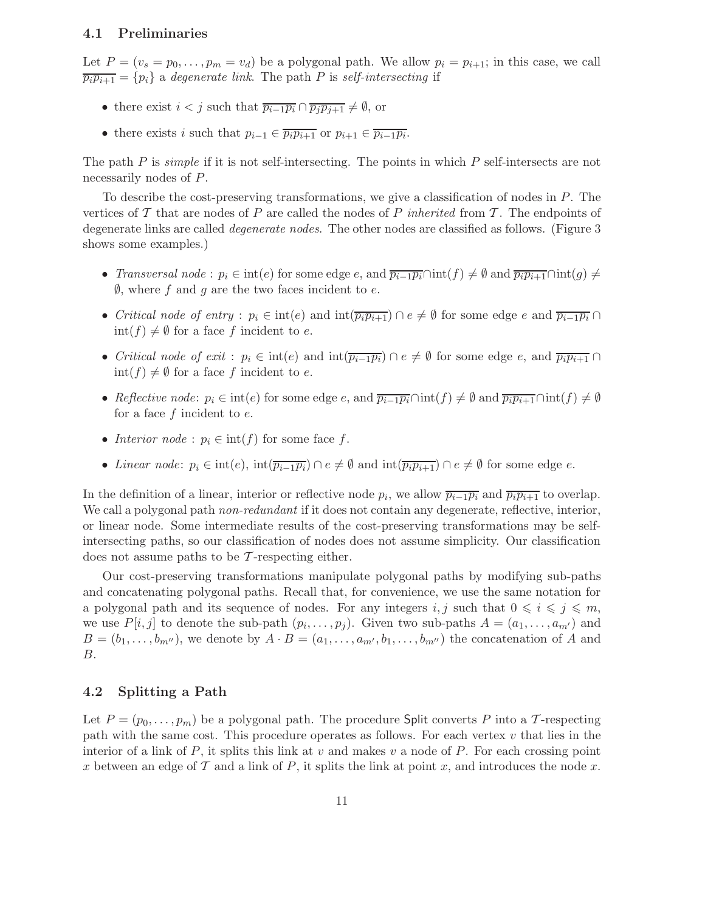## 4.1 Preliminaries

Let  $P = (v_s = p_0, \ldots, p_m = v_d)$  be a polygonal path. We allow  $p_i = p_{i+1}$ ; in this case, we call  $\overline{p_i p_{i+1}} = \{p_i\}$  a degenerate link. The path P is self-intersecting if

- there exist  $i < j$  such that  $\overline{p_{i-1}p_i} \cap \overline{p_jp_{j+1}} \neq \emptyset$ , or
- there exists i such that  $p_{i-1} \in \overline{p_i p_{i+1}}$  or  $p_{i+1} \in \overline{p_{i-1} p_i}$ .

The path  $P$  is *simple* if it is not self-intersecting. The points in which  $P$  self-intersects are not necessarily nodes of P.

To describe the cost-preserving transformations, we give a classification of nodes in P. The vertices of T that are nodes of P are called the nodes of P inherited from T. The endpoints of degenerate links are called degenerate nodes. The other nodes are classified as follows. (Figure 3 shows some examples.)

- Transversal node :  $p_i \in \text{int}(e)$  for some edge e, and  $\overline{p_{i-1}p_i} \cap \text{int}(f) \neq \emptyset$  and  $\overline{p_ip_{i+1}} \cap \text{int}(g) \neq \emptyset$  $\emptyset$ , where f and g are the two faces incident to e.
- Critical node of entry :  $p_i \in \text{int}(e)$  and  $\text{int}(\overline{p_i p_{i+1}}) \cap e \neq \emptyset$  for some edge e and  $\overline{p_{i-1} p_i} \cap e$  $\text{int}(f) \neq \emptyset$  for a face f incident to e.
- Critical node of exit :  $p_i \in \text{int}(e)$  and  $\text{int}(\overline{p_{i-1}p_i}) \cap e \neq \emptyset$  for some edge e, and  $\overline{p_ip_{i+1}} \cap$  $\text{int}(f) \neq \emptyset$  for a face f incident to e.
- Reflective node:  $p_i \in \text{int}(e)$  for some edge e, and  $\overline{p_{i-1}p_i} \cap \text{int}(f) \neq \emptyset$  and  $\overline{p_ip_{i+1}} \cap \text{int}(f) \neq \emptyset$ for a face  $f$  incident to  $e$ .
- Interior node :  $p_i \in \text{int}(f)$  for some face f.
- Linear node:  $p_i \in \text{int}(e)$ ,  $\text{int}(\overline{p_{i-1}p_i}) \cap e \neq \emptyset$  and  $\text{int}(\overline{p_ip_{i+1}}) \cap e \neq \emptyset$  for some edge e.

In the definition of a linear, interior or reflective node  $p_i$ , we allow  $\overline{p_{i-1}p_i}$  and  $\overline{p_ip_{i+1}}$  to overlap. We call a polygonal path *non-redundant* if it does not contain any degenerate, reflective, interior, or linear node. Some intermediate results of the cost-preserving transformations may be selfintersecting paths, so our classification of nodes does not assume simplicity. Our classification does not assume paths to be  $\mathcal T$ -respecting either.

Our cost-preserving transformations manipulate polygonal paths by modifying sub-paths and concatenating polygonal paths. Recall that, for convenience, we use the same notation for a polygonal path and its sequence of nodes. For any integers i, j such that  $0 \leq i \leq j \leq m$ , we use  $P[i, j]$  to denote the sub-path  $(p_i, \ldots, p_j)$ . Given two sub-paths  $A = (a_1, \ldots, a_{m'})$  and  $B = (b_1, \ldots, b_{m''})$ , we denote by  $A \cdot B = (a_1, \ldots, a_{m'}, b_1, \ldots, b_{m''})$  the concatenation of A and B.

## 4.2 Splitting a Path

Let  $P = (p_0, \ldots, p_m)$  be a polygonal path. The procedure Split converts P into a T-respecting path with the same cost. This procedure operates as follows. For each vertex  $v$  that lies in the interior of a link of P, it splits this link at v and makes v a node of P. For each crossing point x between an edge of  $\mathcal T$  and a link of  $P$ , it splits the link at point x, and introduces the node x.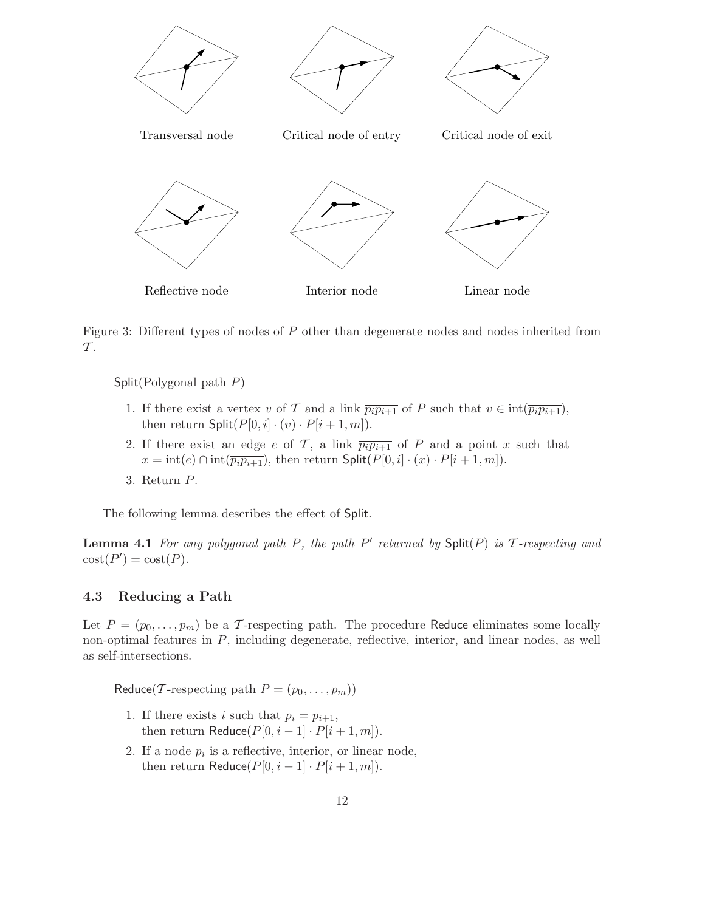

Figure 3: Different types of nodes of P other than degenerate nodes and nodes inherited from  $\mathcal T$ .

Split(Polygonal path P)

- 1. If there exist a vertex v of T and a link  $\overline{p_i p_{i+1}}$  of P such that  $v \in \text{int}(\overline{p_i p_{i+1}})$ , then return  $\text{Split}(P[0, i] \cdot (v) \cdot P[i + 1, m]).$
- 2. If there exist an edge e of T, a link  $\overline{p_i p_{i+1}}$  of P and a point x such that  $x = \text{int}(e) \cap \text{int}(\overline{p_i p_{i+1}})$ , then return  $\text{Split}(P[0, i] \cdot (x) \cdot P[i+1, m])$ .
- 3. Return P.

The following lemma describes the effect of Split.

**Lemma 4.1** For any polygonal path P, the path  $P'$  returned by  $\text{Split}(P)$  is  $\mathcal T$ -respecting and  $\text{cost}(P') = \text{cost}(P).$ 

## 4.3 Reducing a Path

Let  $P = (p_0, \ldots, p_m)$  be a T-respecting path. The procedure Reduce eliminates some locally non-optimal features in P, including degenerate, reflective, interior, and linear nodes, as well as self-intersections.

Reduce(T-respecting path  $P = (p_0, \ldots, p_m)$ )

- 1. If there exists i such that  $p_i = p_{i+1}$ , then return Reduce $(P[0, i-1] \cdot P[i+1, m])$ .
- 2. If a node  $p_i$  is a reflective, interior, or linear node, then return Reduce $(P[0, i-1] \cdot P[i+1, m])$ .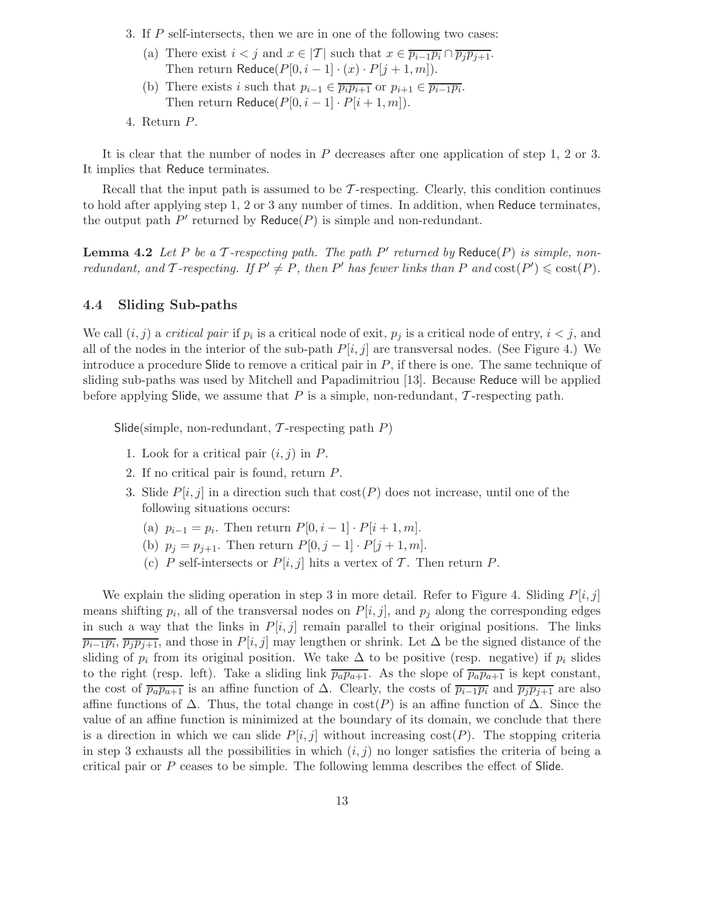- 3. If P self-intersects, then we are in one of the following two cases:
	- (a) There exist  $i < j$  and  $x \in |\mathcal{T}|$  such that  $x \in \overline{p_{i-1}p_i} \cap \overline{p_jp_{j+1}}$ . Then return Reduce( $P[0, i-1] \cdot (x) \cdot P[j+1, m]$ ).
	- (b) There exists i such that  $p_{i-1} \in \overline{p_i p_{i+1}}$  or  $p_{i+1} \in \overline{p_{i-1} p_i}$ . Then return Reduce $(P[0, i-1] \cdot P[i+1, m])$ .
- 4. Return P.

It is clear that the number of nodes in P decreases after one application of step 1, 2 or 3. It implies that Reduce terminates.

Recall that the input path is assumed to be  $\mathcal{T}$ -respecting. Clearly, this condition continues to hold after applying step 1, 2 or 3 any number of times. In addition, when Reduce terminates, the output path  $P'$  returned by Reduce $(P)$  is simple and non-redundant.

**Lemma 4.2** Let P be a T-respecting path. The path  $P'$  returned by Reduce(P) is simple, nonredundant, and T-respecting. If  $P' \neq P$ , then P' has fewer links than P and  $cost(P') \leq cost(P)$ .

## 4.4 Sliding Sub-paths

We call  $(i, j)$  a *critical pair* if  $p_i$  is a critical node of exit,  $p_j$  is a critical node of entry,  $i < j$ , and all of the nodes in the interior of the sub-path  $P[i, j]$  are transversal nodes. (See Figure 4.) We introduce a procedure Slide to remove a critical pair in  $P$ , if there is one. The same technique of sliding sub-paths was used by Mitchell and Papadimitriou [13]. Because Reduce will be applied before applying Slide, we assume that  $P$  is a simple, non-redundant,  $\mathcal{T}$ -respecting path.

Slide(simple, non-redundant,  $\mathcal T$ -respecting path  $P$ )

- 1. Look for a critical pair  $(i, j)$  in P.
- 2. If no critical pair is found, return P.
- 3. Slide  $P[i, j]$  in a direction such that  $cost(P)$  does not increase, until one of the following situations occurs:
	- (a)  $p_{i-1} = p_i$ . Then return  $P[0, i-1] \cdot P[i+1, m]$ .
	- (b)  $p_j = p_{j+1}$ . Then return  $P[0, j-1] \cdot P[j+1, m]$ .
	- (c) P self-intersects or  $P[i, j]$  hits a vertex of T. Then return P.

We explain the sliding operation in step 3 in more detail. Refer to Figure 4. Sliding  $P[i, j]$ means shifting  $p_i$ , all of the transversal nodes on  $P[i, j]$ , and  $p_j$  along the corresponding edges in such a way that the links in  $P[i, j]$  remain parallel to their original positions. The links  $\overline{p_{i-1}p_i}$ ,  $\overline{p_jp_{j+1}}$ , and those in  $P[i, j]$  may lengthen or shrink. Let  $\Delta$  be the signed distance of the sliding of  $p_i$  from its original position. We take  $\Delta$  to be positive (resp. negative) if  $p_i$  slides to the right (resp. left). Take a sliding link  $\overline{p_a p_{a+1}}$ . As the slope of  $\overline{p_a p_{a+1}}$  is kept constant, the cost of  $\overline{p_a p_{a+1}}$  is an affine function of  $\Delta$ . Clearly, the costs of  $\overline{p_{i-1} p_i}$  and  $\overline{p_j p_{j+1}}$  are also affine functions of  $\Delta$ . Thus, the total change in cost(P) is an affine function of  $\Delta$ . Since the value of an affine function is minimized at the boundary of its domain, we conclude that there is a direction in which we can slide  $P[i, j]$  without increasing  $cost(P)$ . The stopping criteria in step 3 exhausts all the possibilities in which  $(i, j)$  no longer satisfies the criteria of being a critical pair or P ceases to be simple. The following lemma describes the effect of Slide.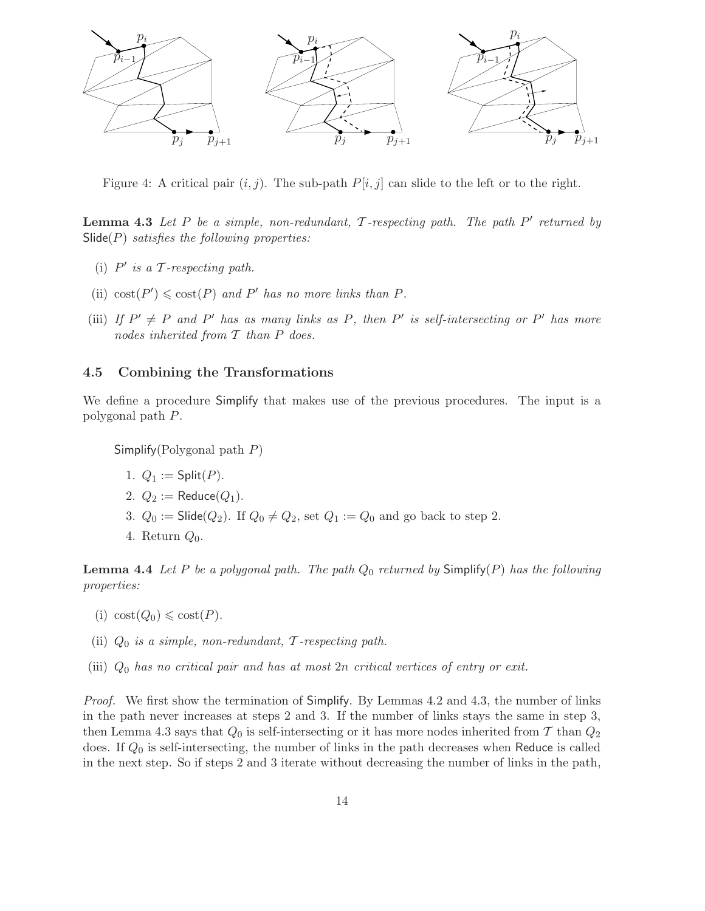

Figure 4: A critical pair  $(i, j)$ . The sub-path  $P[i, j]$  can slide to the left or to the right.

**Lemma 4.3** Let P be a simple, non-redundant,  $\mathcal{T}$ -respecting path. The path P' returned by  $\textsf{Side}(P)$  satisfies the following properties:

- (i)  $P'$  is a  $\mathcal T$ -respecting path.
- (ii)  $cost(P') \leq cost(P)$  and P' has no more links than P.
- (iii) If  $P' \neq P$  and P' has as many links as P, then P' is self-intersecting or P' has more nodes inherited from  $T$  than  $P$  does.

## 4.5 Combining the Transformations

We define a procedure Simplify that makes use of the previous procedures. The input is a polygonal path P.

Simplify(Polygonal path P)

- 1.  $Q_1 := \mathsf{Split}(P)$ .
- 2.  $Q_2 := \text{Reduce}(Q_1)$ .
- 3.  $Q_0 := \mathsf{Slice}(Q_2)$ . If  $Q_0 \neq Q_2$ , set  $Q_1 := Q_0$  and go back to step 2.
- 4. Return  $Q_0$ .

**Lemma 4.4** Let P be a polygonal path. The path  $Q_0$  returned by  $\textsf{Simplify}(P)$  has the following properties:

- (i)  $\text{cost}(Q_0) \leq \text{cost}(P)$ .
- (ii)  $Q_0$  is a simple, non-redundant, T-respecting path.
- (iii)  $Q_0$  has no critical pair and has at most  $2n$  critical vertices of entry or exit.

*Proof.* We first show the termination of Simplify. By Lemmas 4.2 and 4.3, the number of links in the path never increases at steps 2 and 3. If the number of links stays the same in step 3, then Lemma 4.3 says that  $Q_0$  is self-intersecting or it has more nodes inherited from T than  $Q_2$ does. If  $Q_0$  is self-intersecting, the number of links in the path decreases when Reduce is called in the next step. So if steps 2 and 3 iterate without decreasing the number of links in the path,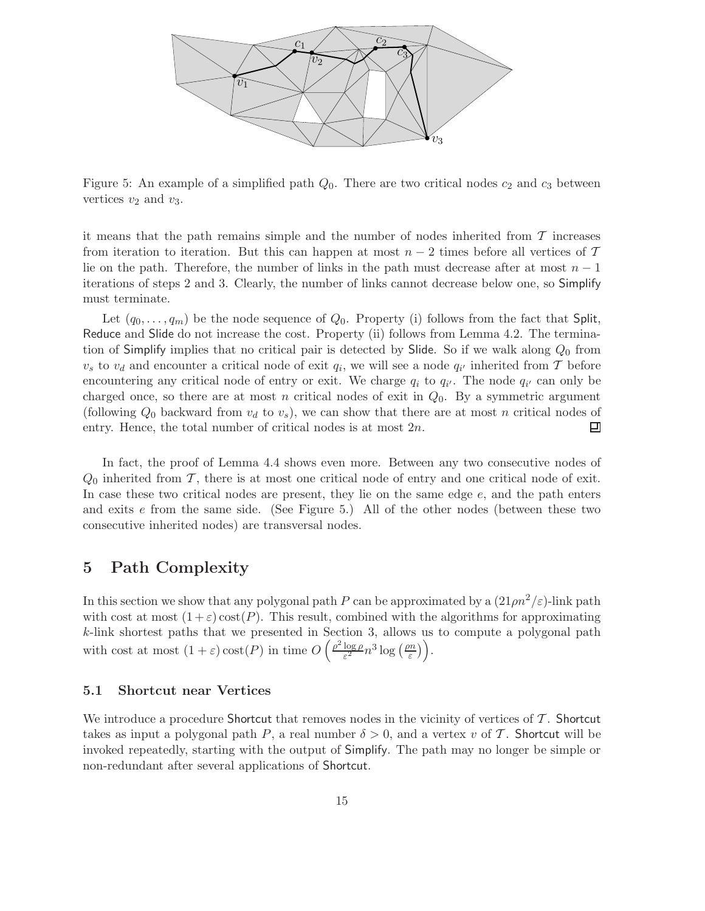

Figure 5: An example of a simplified path  $Q_0$ . There are two critical nodes  $c_2$  and  $c_3$  between vertices  $v_2$  and  $v_3$ .

it means that the path remains simple and the number of nodes inherited from  $\mathcal T$  increases from iteration to iteration. But this can happen at most  $n-2$  times before all vertices of T lie on the path. Therefore, the number of links in the path must decrease after at most  $n-1$ iterations of steps 2 and 3. Clearly, the number of links cannot decrease below one, so Simplify must terminate.

Let  $(q_0, \ldots, q_m)$  be the node sequence of  $Q_0$ . Property (i) follows from the fact that Split, Reduce and Slide do not increase the cost. Property (ii) follows from Lemma 4.2. The termination of Simplify implies that no critical pair is detected by Slide. So if we walk along  $Q_0$  from  $v_s$  to  $v_d$  and encounter a critical node of exit  $q_i$ , we will see a node  $q_{i'}$  inherited from T before encountering any critical node of entry or exit. We charge  $q_i$  to  $q_{i'}$ . The node  $q_{i'}$  can only be charged once, so there are at most n critical nodes of exit in  $Q_0$ . By a symmetric argument (following  $Q_0$  backward from  $v_d$  to  $v_s$ ), we can show that there are at most n critical nodes of entry. Hence, the total number of critical nodes is at most 2n. 囙

In fact, the proof of Lemma 4.4 shows even more. Between any two consecutive nodes of  $Q_0$  inherited from T, there is at most one critical node of entry and one critical node of exit. In case these two critical nodes are present, they lie on the same edge e, and the path enters and exits  $e$  from the same side. (See Figure 5.) All of the other nodes (between these two consecutive inherited nodes) are transversal nodes.

## 5 Path Complexity

In this section we show that any polygonal path P can be approximated by a  $(21 \rho n^2/\varepsilon)$ -link path with cost at most  $(1+\varepsilon)\cos(t)$ . This result, combined with the algorithms for approximating k-link shortest paths that we presented in Section 3, allows us to compute a polygonal path with cost at most  $(1+\varepsilon)\cos(f)$  in time  $O\left(\frac{\rho^2 \log \rho}{\varepsilon^2}\right)$  $\frac{\log \rho}{\varepsilon^2} n^3 \log \left( \frac{\rho n}{\varepsilon} \right)$  $\left(\frac{m}{\varepsilon}\right)\bigg).$ 

## 5.1 Shortcut near Vertices

We introduce a procedure Shortcut that removes nodes in the vicinity of vertices of  $\mathcal T$ . Shortcut takes as input a polygonal path P, a real number  $\delta > 0$ , and a vertex v of T. Shortcut will be invoked repeatedly, starting with the output of Simplify. The path may no longer be simple or non-redundant after several applications of Shortcut.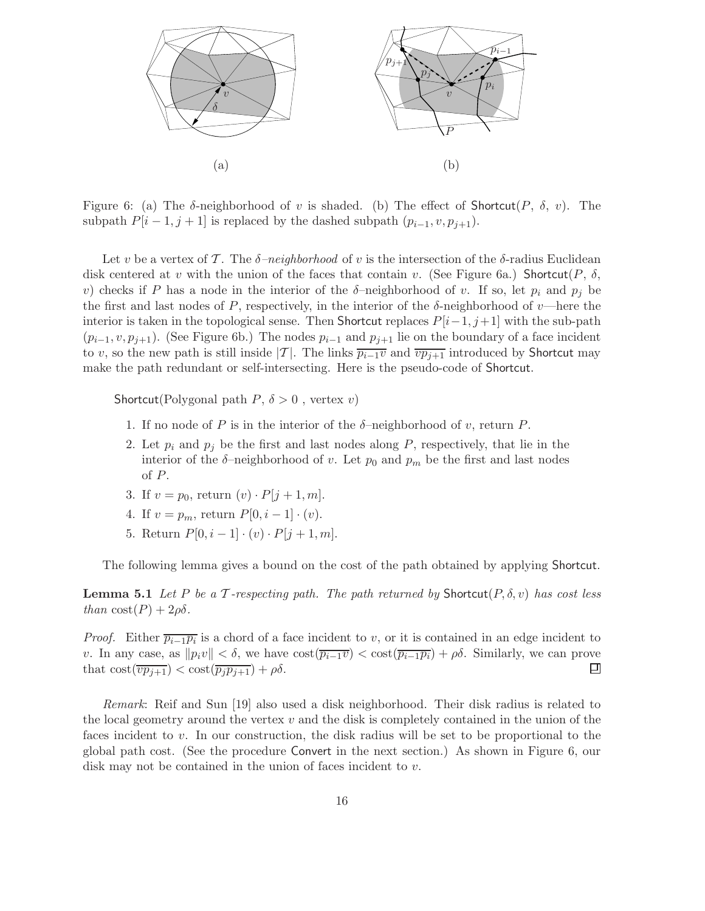

Figure 6: (a) The  $\delta$ -neighborhood of v is shaded. (b) The effect of Shortcut(P,  $\delta$ , v). The subpath  $P[i-1, j+1]$  is replaced by the dashed subpath  $(p_{i-1}, v, p_{j+1})$ .

Let v be a vertex of T. The  $\delta$ -neighborhood of v is the intersection of the  $\delta$ -radius Euclidean disk centered at v with the union of the faces that contain v. (See Figure 6a.) Shortcut(P,  $\delta$ , v) checks if P has a node in the interior of the  $\delta$ -neighborhood of v. If so, let  $p_i$  and  $p_j$  be the first and last nodes of P, respectively, in the interior of the  $\delta$ -neighborhood of v—here the interior is taken in the topological sense. Then Shortcut replaces  $P[i-1, j+1]$  with the sub-path  $(p_{i-1}, v, p_{j+1})$ . (See Figure 6b.) The nodes  $p_{i-1}$  and  $p_{j+1}$  lie on the boundary of a face incident to v, so the new path is still inside |T|. The links  $\overline{p_{i-1}v}$  and  $\overline{vp_{j+1}}$  introduced by Shortcut may make the path redundant or self-intersecting. Here is the pseudo-code of Shortcut.

Shortcut(Polygonal path  $P, \delta > 0$ , vertex v)

- 1. If no node of P is in the interior of the  $\delta$ -neighborhood of v, return P.
- 2. Let  $p_i$  and  $p_j$  be the first and last nodes along P, respectively, that lie in the interior of the  $\delta$ -neighborhood of v. Let  $p_0$  and  $p_m$  be the first and last nodes of P.
- 3. If  $v = p_0$ , return  $(v) \cdot P[j + 1, m]$ .
- 4. If  $v = p_m$ , return  $P[0, i 1] \cdot (v)$ .
- 5. Return  $P[0, i 1] \cdot (v) \cdot P[j + 1, m].$

The following lemma gives a bound on the cost of the path obtained by applying Shortcut.

**Lemma 5.1** Let P be a T-respecting path. The path returned by Shortcut( $P, \delta, v$ ) has cost less than  $\text{cost}(P) + 2\rho\delta$ .

*Proof.* Either  $\overline{p_{i-1}p_i}$  is a chord of a face incident to v, or it is contained in an edge incident to v. In any case, as  $||p_i v|| < \delta$ , we have  $\cos(\overline{p_{i-1}v}) < \cos(\overline{p_{i-1}p_i}) + \rho \delta$ . Similarly, we can prove that  $\cos(\overline{p_{i+1}}) < \cos(\overline{p_i p_{i+1}}) + \rho \delta$ . that  $\text{cost}(\overline{vp_{j+1}}) < \text{cost}(\overline{p_jp_{j+1}}) + \rho \delta$ .

Remark: Reif and Sun [19] also used a disk neighborhood. Their disk radius is related to the local geometry around the vertex  $v$  and the disk is completely contained in the union of the faces incident to v. In our construction, the disk radius will be set to be proportional to the global path cost. (See the procedure Convert in the next section.) As shown in Figure 6, our disk may not be contained in the union of faces incident to v.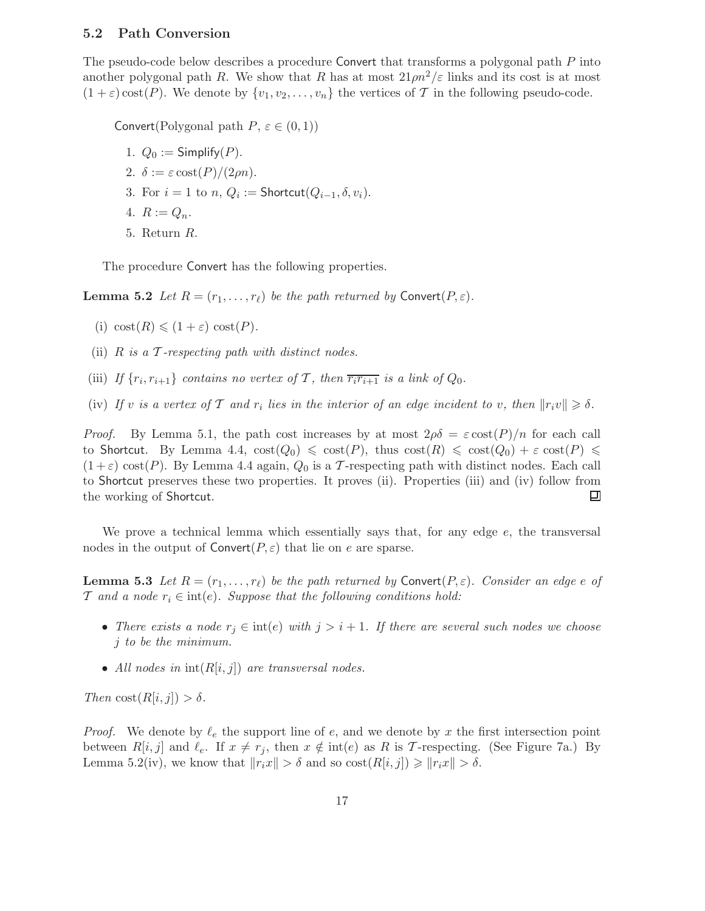### 5.2 Path Conversion

The pseudo-code below describes a procedure Convert that transforms a polygonal path P into another polygonal path R. We show that R has at most  $21 \rho n^2/\varepsilon$  links and its cost is at most  $(1 + \varepsilon) \text{cost}(P)$ . We denote by  $\{v_1, v_2, \ldots, v_n\}$  the vertices of T in the following pseudo-code.

Convert(Polygonal path  $P, \varepsilon \in (0, 1)$ )

- 1.  $Q_0 :=$  Simplify(P).
- 2.  $\delta := \varepsilon \cos\left(\frac{P}{2\rho n}\right)$ .
- 3. For  $i = 1$  to  $n, Q_i :=$  Shortcut $(Q_{i-1}, \delta, v_i)$ .
- 4.  $R := Q_n$ .
- 5. Return R.

The procedure Convert has the following properties.

**Lemma 5.2** Let  $R = (r_1, \ldots, r_\ell)$  be the path returned by Convert $(P, \varepsilon)$ .

- (i)  $\text{cost}(R) \leq (1 + \varepsilon) \text{cost}(P)$ .
- (ii)  $R$  is a  $\mathcal T$ -respecting path with distinct nodes.
- (iii) If  $\{r_i, r_{i+1}\}$  contains no vertex of T, then  $\overline{r_ir_{i+1}}$  is a link of  $Q_0$ .
- (iv) If v is a vertex of T and  $r_i$  lies in the interior of an edge incident to v, then  $||r_i v|| \ge \delta$ .

*Proof.* By Lemma 5.1, the path cost increases by at most  $2\rho\delta = \varepsilon \cot(P)/n$  for each call to Shortcut. By Lemma 4.4,  $\text{cost}(Q_0) \leq \text{cost}(P)$ , thus  $\text{cost}(R) \leq \text{cost}(Q_0) + \varepsilon \text{cost}(P) \leq$  $(1+\varepsilon)$  cost $(P)$ . By Lemma 4.4 again,  $Q_0$  is a T-respecting path with distinct nodes. Each call to Shortcut preserves these two properties. It proves (ii). Properties (iii) and (iv) follow from the working of Shortcut. 囙

We prove a technical lemma which essentially says that, for any edge e, the transversal nodes in the output of  $\text{Convert}(P, \varepsilon)$  that lie on e are sparse.

**Lemma 5.3** Let  $R = (r_1, \ldots, r_\ell)$  be the path returned by Convert $(P, \varepsilon)$ . Consider an edge e of T and a node  $r_i \in \text{int}(e)$ . Suppose that the following conditions hold:

- There exists a node  $r_j \in \text{int}(e)$  with  $j > i + 1$ . If there are several such nodes we choose j to be the minimum.
- All nodes in  $\text{int}(R[i, j])$  are transversal nodes.

Then  $\text{cost}(R[i, j]) > \delta$ .

*Proof.* We denote by  $\ell_e$  the support line of e, and we denote by x the first intersection point between  $R[i, j]$  and  $\ell_e$ . If  $x \neq r_j$ , then  $x \notin \text{int}(e)$  as R is T-respecting. (See Figure 7a.) By Lemma 5.2(iv), we know that  $||r_i x|| > \delta$  and so  $\text{cost}(R[i, j]) \ge ||r_i x|| > \delta$ .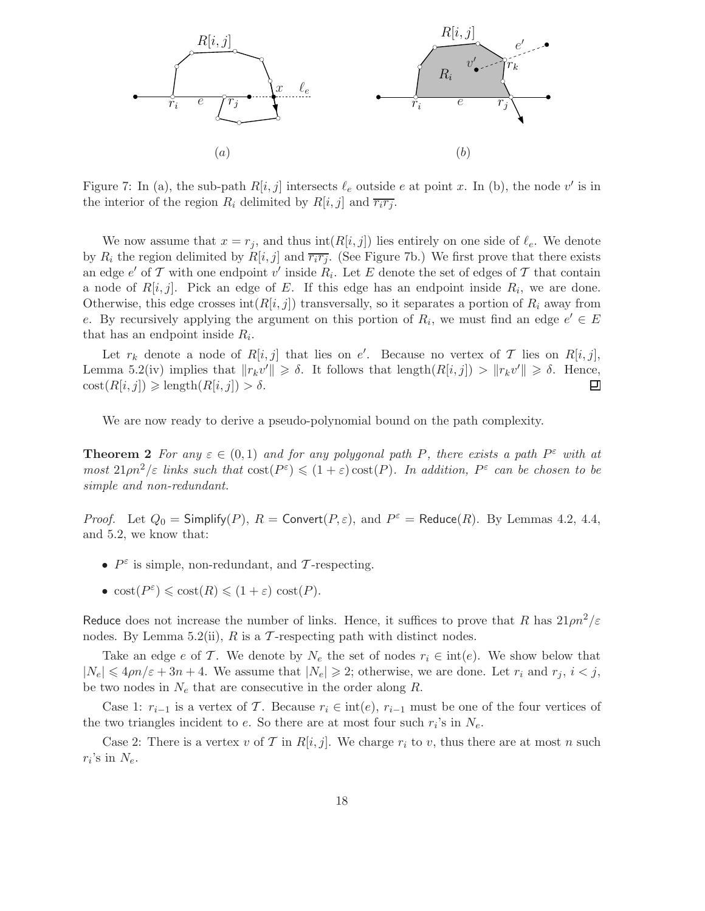

Figure 7: In (a), the sub-path  $R[i, j]$  intersects  $\ell_e$  outside e at point x. In (b), the node v' is in the interior of the region  $R_i$  delimited by  $R[i, j]$  and  $\overline{r_i r_j}$ .

We now assume that  $x = r_i$ , and thus int $(R[i, j])$  lies entirely on one side of  $\ell_e$ . We denote by  $R_i$  the region delimited by  $R[i, j]$  and  $\overline{r_i r_j}$ . (See Figure 7b.) We first prove that there exists an edge  $e'$  of  $\mathcal T$  with one endpoint  $v'$  inside  $R_i$ . Let  $E$  denote the set of edges of  $\mathcal T$  that contain a node of  $R[i, j]$ . Pick an edge of E. If this edge has an endpoint inside  $R_i$ , we are done. Otherwise, this edge crosses  $int(R[i, j])$  transversally, so it separates a portion of  $R_i$  away from e. By recursively applying the argument on this portion of  $R_i$ , we must find an edge  $e' \in E$ that has an endpoint inside  $R_i$ .

Let  $r_k$  denote a node of  $R[i, j]$  that lies on e'. Because no vertex of T lies on  $R[i, j]$ , Lemma 5.2(iv) implies that  $||r_k v'|| \ge \delta$ . It follows that  $\text{length}(R[i,j]) > ||r_k v'|| \ge \delta$ . Hence,  $\text{cost}(R[i, j]) \geq \text{length}(R[i, j]) > \delta.$ 

We are now ready to derive a pseudo-polynomial bound on the path complexity.

**Theorem 2** For any  $\varepsilon \in (0,1)$  and for any polygonal path P, there exists a path  $P^{\varepsilon}$  with at most  $21 \rho n^2/\varepsilon$  links such that  $\cosh(P^{\varepsilon}) \leq (1+\varepsilon)\cosh(P)$ . In addition,  $P^{\varepsilon}$  can be chosen to be simple and non-redundant.

*Proof.* Let  $Q_0 =$  Simplify(P),  $R =$  Convert( $P, \varepsilon$ ), and  $P^{\varepsilon} =$  Reduce( $R$ ). By Lemmas 4.2, 4.4, and 5.2, we know that:

- $P^{\varepsilon}$  is simple, non-redundant, and T-respecting.
- $\text{cost}(P^{\varepsilon}) \leq \text{cost}(R) \leq (1 + \varepsilon) \text{ cost}(P).$

Reduce does not increase the number of links. Hence, it suffices to prove that R has  $21 \rho n^2/\varepsilon$ nodes. By Lemma 5.2(ii), R is a T-respecting path with distinct nodes.

Take an edge e of T. We denote by  $N_e$  the set of nodes  $r_i \in int(e)$ . We show below that  $|N_e| \leq 4\rho n/\varepsilon + 3n + 4$ . We assume that  $|N_e| \geq 2$ ; otherwise, we are done. Let  $r_i$  and  $r_j$ ,  $i < j$ , be two nodes in  $N_e$  that are consecutive in the order along R.

Case 1:  $r_{i-1}$  is a vertex of T. Because  $r_i \in int(e), r_{i-1}$  must be one of the four vertices of the two triangles incident to e. So there are at most four such  $r_i$ 's in  $N_e$ .

Case 2: There is a vertex v of T in R[i, j]. We charge  $r_i$  to v, thus there are at most n such  $r_i$ 's in  $N_e$ .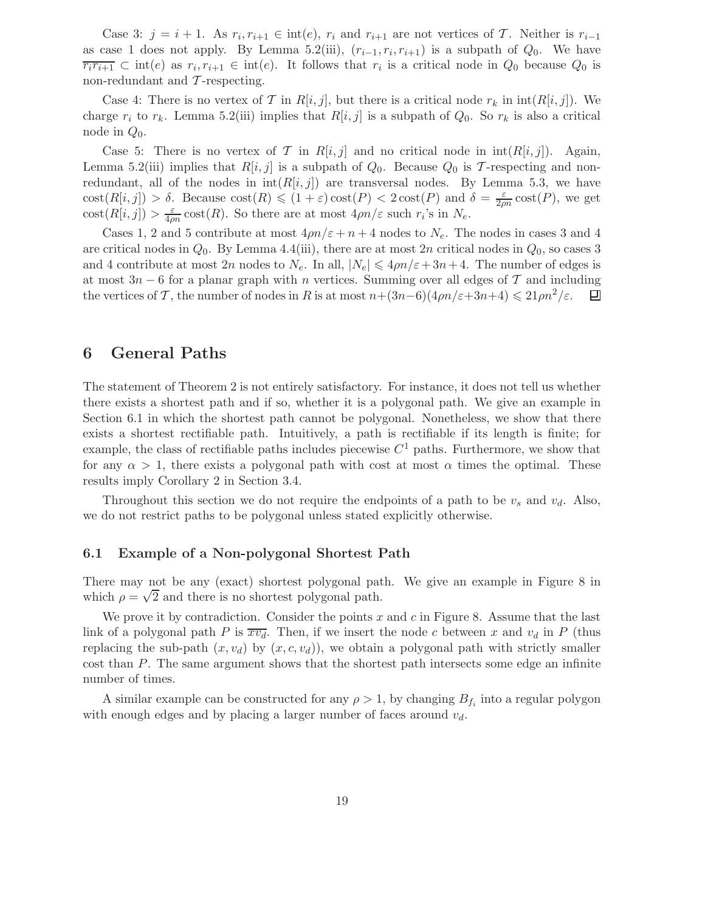Case 3:  $j = i + 1$ . As  $r_i, r_{i+1} \in \text{int}(e)$ ,  $r_i$  and  $r_{i+1}$  are not vertices of  $\mathcal{T}$ . Neither is  $r_{i-1}$ as case 1 does not apply. By Lemma 5.2(iii),  $(r_{i-1}, r_i, r_{i+1})$  is a subpath of  $Q_0$ . We have  $\overline{r_ir_{i+1}} \subset \text{int}(e)$  as  $r_i, r_{i+1} \in \text{int}(e)$ . It follows that  $r_i$  is a critical node in  $Q_0$  because  $Q_0$  is non-redundant and  $\mathcal T$ -respecting.

Case 4: There is no vertex of T in R[i, j], but there is a critical node  $r_k$  in  $\text{int}(R[i,j])$ . We charge  $r_i$  to  $r_k$ . Lemma 5.2(iii) implies that  $R[i, j]$  is a subpath of  $Q_0$ . So  $r_k$  is also a critical node in  $Q_0$ .

Case 5: There is no vertex of T in  $R[i, j]$  and no critical node in  $\text{int}(R[i, j])$ . Again, Lemma 5.2(iii) implies that  $R[i, j]$  is a subpath of  $Q_0$ . Because  $Q_0$  is T-respecting and nonredundant, all of the nodes in  $int(R[i, j])$  are transversal nodes. By Lemma 5.3, we have  $\text{cost}(R[i,j]) > \delta$ . Because  $\text{cost}(R) \leq (1+\varepsilon)\text{cost}(P) < 2\cos\left(P\right)$  and  $\delta = \frac{\varepsilon}{2\rho n} \text{cost}(P)$ , we get  $\text{cost}(R[i,j]) > \frac{\varepsilon}{4\rho n} \text{cost}(R)$ . So there are at most  $4\rho n/\varepsilon$  such  $r_i$ 's in  $N_e$ .

Cases 1, 2 and 5 contribute at most  $4\rho n/\varepsilon + n + 4$  nodes to  $N_e$ . The nodes in cases 3 and 4 are critical nodes in  $Q_0$ . By Lemma 4.4(iii), there are at most 2n critical nodes in  $Q_0$ , so cases 3 and 4 contribute at most 2n nodes to  $N_e$ . In all,  $|N_e| \leq 4\rho n/\varepsilon + 3n+4$ . The number of edges is at most 3n − 6 for a planar graph with n vertices. Summing over all edges of  $\mathcal T$  and including the vertices of  $\mathcal T$ , the number of nodes in R is at most  $n+(3n-6)(4\rho n/\varepsilon+3n+4) \leq 21\rho n^2/\varepsilon$ .  $\Box$ the vertices of T, the number of nodes in R is at most  $n+(3n-6)(4\rho n/\varepsilon+3n+4) \leq 21\rho n^2/\varepsilon$ .

## 6 General Paths

The statement of Theorem 2 is not entirely satisfactory. For instance, it does not tell us whether there exists a shortest path and if so, whether it is a polygonal path. We give an example in Section 6.1 in which the shortest path cannot be polygonal. Nonetheless, we show that there exists a shortest rectifiable path. Intuitively, a path is rectifiable if its length is finite; for example, the class of rectifiable paths includes piecewise  $C<sup>1</sup>$  paths. Furthermore, we show that for any  $\alpha > 1$ , there exists a polygonal path with cost at most  $\alpha$  times the optimal. These results imply Corollary 2 in Section 3.4.

Throughout this section we do not require the endpoints of a path to be  $v_s$  and  $v_d$ . Also, we do not restrict paths to be polygonal unless stated explicitly otherwise.

### 6.1 Example of a Non-polygonal Shortest Path

There may not be any (exact) shortest polygonal path. We give an example in Figure 8 in which  $\rho = \sqrt{2}$  and there is no shortest polygonal path.

We prove it by contradiction. Consider the points x and c in Figure 8. Assume that the last link of a polygonal path P is  $\overline{xv_d}$ . Then, if we insert the node c between x and  $v_d$  in P (thus replacing the sub-path  $(x, v_d)$  by  $(x, c, v_d)$ , we obtain a polygonal path with strictly smaller cost than P. The same argument shows that the shortest path intersects some edge an infinite number of times.

A similar example can be constructed for any  $\rho > 1$ , by changing  $B_{f_i}$  into a regular polygon with enough edges and by placing a larger number of faces around  $v_d$ .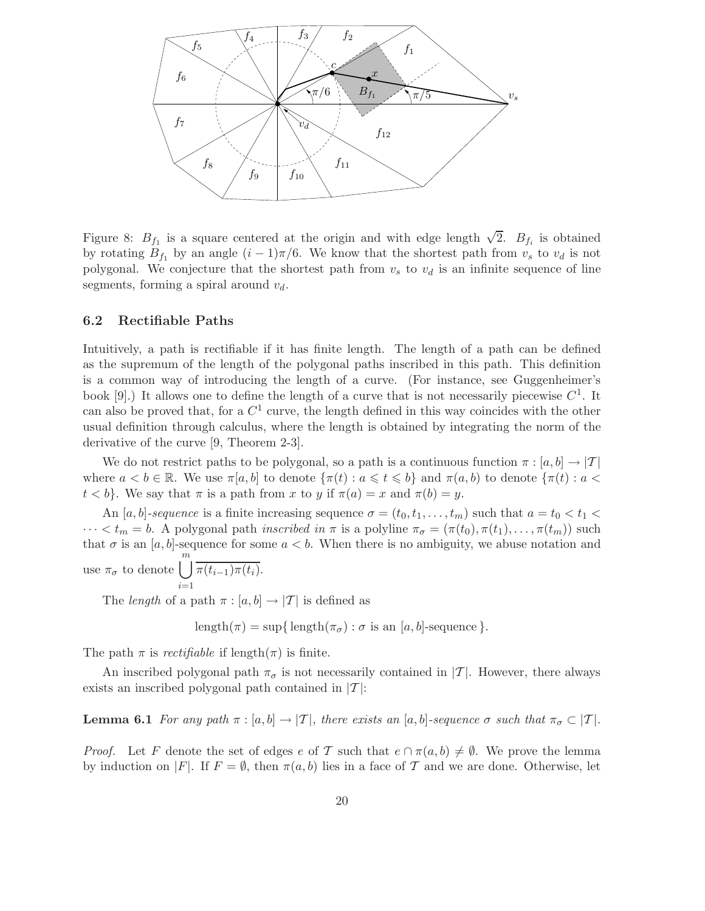

Figure 8:  $B_{f_1}$  is a square centered at the origin and with edge length  $\sqrt{2}$ .  $B_{f_i}$  is obtained by rotating  $B_{f_1}$  by an angle  $(i - 1)\pi/6$ . We know that the shortest path from  $v_s$  to  $v_d$  is not polygonal. We conjecture that the shortest path from  $v_s$  to  $v_d$  is an infinite sequence of line segments, forming a spiral around  $v_d$ .

## 6.2 Rectifiable Paths

Intuitively, a path is rectifiable if it has finite length. The length of a path can be defined as the supremum of the length of the polygonal paths inscribed in this path. This definition is a common way of introducing the length of a curve. (For instance, see Guggenheimer's book [9].) It allows one to define the length of a curve that is not necessarily piecewise  $C^1$ . It can also be proved that, for a  $C^1$  curve, the length defined in this way coincides with the other usual definition through calculus, where the length is obtained by integrating the norm of the derivative of the curve [9, Theorem 2-3].

We do not restrict paths to be polygonal, so a path is a continuous function  $\pi : [a, b] \to [T]$ where  $a < b \in \mathbb{R}$ . We use  $\pi[a, b]$  to denote  $\{\pi(t) : a \leq t \leq b\}$  and  $\pi(a, b)$  to denote  $\{\pi(t) : a < b\}$  $t < b$ . We say that  $\pi$  is a path from x to y if  $\pi(a) = x$  and  $\pi(b) = y$ .

An [a, b]-sequence is a finite increasing sequence  $\sigma = (t_0, t_1, \ldots, t_m)$  such that  $a = t_0 < t_1$  $\cdots < t_m = b$ . A polygonal path *inscribed in*  $\pi$  is a polyline  $\pi_{\sigma} = (\pi(t_0), \pi(t_1), \ldots, \pi(t_m))$  such that  $\sigma$  is an [a, b]-sequence for some  $a < b$ . When there is no ambiguity, we abuse notation and use  $\pi_{\sigma}$  to denote  $\bigcup_{m=1}^{\infty}$  $\pi(t_{i-1})\pi(t_i)$ .

The *length* of a path  $\pi$  :  $[a, b] \rightarrow |T|$  is defined as

length( $\pi$ ) = sup{ length( $\pi$ <sub> $\sigma$ </sub>) :  $\sigma$  is an [a, b]-sequence }.

The path  $\pi$  is *rectifiable* if length $(\pi)$  is finite.

 $i=1$ 

An inscribed polygonal path  $\pi_{\sigma}$  is not necessarily contained in |T|. However, there always exists an inscribed polygonal path contained in  $|T|$ :

**Lemma 6.1** For any path  $\pi$  :  $[a, b] \rightarrow |T|$ , there exists an  $[a, b]$ -sequence  $\sigma$  such that  $\pi_{\sigma} \subset |T|$ .

*Proof.* Let F denote the set of edges e of T such that  $e \cap \pi(a, b) \neq \emptyset$ . We prove the lemma by induction on |F|. If  $F = \emptyset$ , then  $\pi(a, b)$  lies in a face of T and we are done. Otherwise, let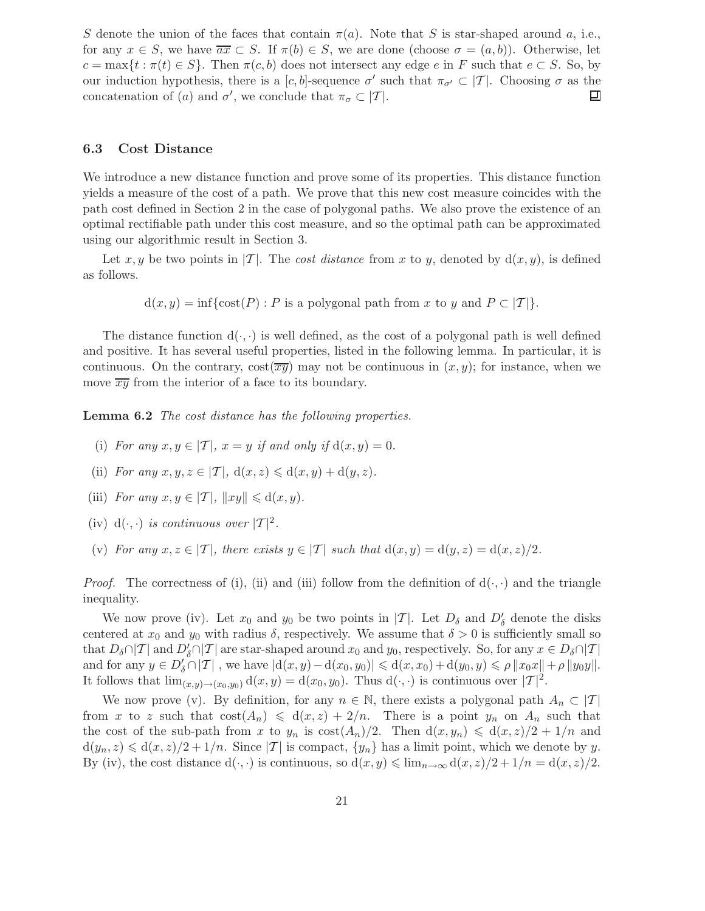S denote the union of the faces that contain  $\pi(a)$ . Note that S is star-shaped around a, i.e., for any  $x \in S$ , we have  $\overline{ax} \subset S$ . If  $\pi(b) \in S$ , we are done (choose  $\sigma = (a, b)$ ). Otherwise, let  $c = \max\{t : \pi(t) \in S\}$ . Then  $\pi(c, b)$  does not intersect any edge e in F such that  $e \subset S$ . So, by our induction hypothesis, there is a  $[c, b]$ -sequence  $\sigma'$  such that  $\pi_{\sigma'} \subset |\mathcal{T}|$ . Choosing  $\sigma$  as the concatenation of (a) and  $\sigma'$ , we conclude that  $\pi_{\sigma} \subset |\mathcal{T}|$ .

## 6.3 Cost Distance

We introduce a new distance function and prove some of its properties. This distance function yields a measure of the cost of a path. We prove that this new cost measure coincides with the path cost defined in Section 2 in the case of polygonal paths. We also prove the existence of an optimal rectifiable path under this cost measure, and so the optimal path can be approximated using our algorithmic result in Section 3.

Let x, y be two points in |T|. The cost distance from x to y, denoted by  $d(x, y)$ , is defined as follows.

$$
d(x, y) = inf\{cost(P) : P \text{ is a polygonal path from } x \text{ to } y \text{ and } P \subset |T|\}.
$$

The distance function  $d(\cdot, \cdot)$  is well defined, as the cost of a polygonal path is well defined and positive. It has several useful properties, listed in the following lemma. In particular, it is continuous. On the contrary,  $\cot(\overline{xy})$  may not be continuous in  $(x, y)$ ; for instance, when we move  $\overline{xy}$  from the interior of a face to its boundary.

Lemma 6.2 The cost distance has the following properties.

- (i) For any  $x, y \in [T]$ ,  $x = y$  if and only if  $d(x, y) = 0$ .
- (ii) For any  $x, y, z \in |T|$ ,  $d(x, z) \leq d(x, y) + d(y, z)$ .
- (iii) For any  $x, y \in |\mathcal{T}|, ||xy|| \leq d(x, y)$ .
- (iv)  $d(\cdot, \cdot)$  is continuous over  $|\mathcal{T}|^2$ .
- (v) For any  $x, z \in |\mathcal{T}|$ , there exists  $y \in |\mathcal{T}|$  such that  $d(x, y) = d(y, z) = d(x, z)/2$ .

*Proof.* The correctness of (i), (ii) and (iii) follow from the definition of  $d(\cdot, \cdot)$  and the triangle inequality.

We now prove (iv). Let  $x_0$  and  $y_0$  be two points in  $|{\cal T}|$ . Let  $D_{\delta}$  and  $D'_{\delta}$  denote the disks centered at  $x_0$  and  $y_0$  with radius  $\delta$ , respectively. We assume that  $\delta > 0$  is sufficiently small so that  $D_\delta \cap |\mathcal{T}|$  and  $D'_\delta \cap |\mathcal{T}|$  are star-shaped around  $x_0$  and  $y_0$ , respectively. So, for any  $x \in D_\delta \cap |\mathcal{T}|$ and for any  $y \in D'_{\delta} \cap |\mathcal{T}|$ , we have  $|\mathrm{d}(x, y) - \mathrm{d}(x_0, y_0)| \leq \mathrm{d}(x, x_0) + \mathrm{d}(y_0, y) \leq \rho ||x_0x|| + \rho ||y_0y||$ . It follows that  $\lim_{(x,y)\to(x_0,y_0)} d(x,y) = d(x_0,y_0)$ . Thus  $d(\cdot, \cdot)$  is continuous over  $|\mathcal{T}|^2$ .

We now prove (v). By definition, for any  $n \in \mathbb{N}$ , there exists a polygonal path  $A_n \subset |\mathcal{T}|$ from x to z such that  $cost(A_n) \leq d(x, z) + 2/n$ . There is a point  $y_n$  on  $A_n$  such that the cost of the sub-path from x to  $y_n$  is  $\cot(A_n)/2$ . Then  $d(x, y_n) \leq d(x, z)/2 + 1/n$  and  $d(y_n, z) \le d(x, z)/2 + 1/n$ . Since  $|\mathcal{T}|$  is compact,  $\{y_n\}$  has a limit point, which we denote by y. By (iv), the cost distance  $d(\cdot, \cdot)$  is continuous, so  $d(x, y) \leq \lim_{n \to \infty} d(x, z)/2 + 1/n = d(x, z)/2$ .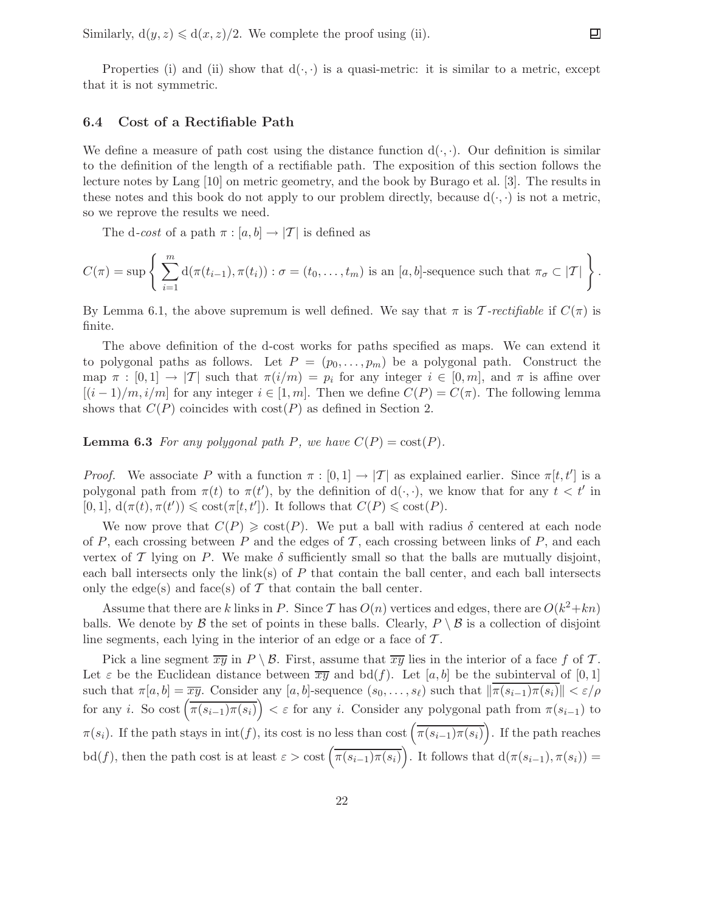Similarly,  $d(y, z) \leq d(x, z)/2$ . We complete the proof using (ii).

Properties (i) and (ii) show that  $d(\cdot, \cdot)$  is a quasi-metric: it is similar to a metric, except that it is not symmetric.

## 6.4 Cost of a Rectifiable Path

We define a measure of path cost using the distance function  $d(\cdot, \cdot)$ . Our definition is similar to the definition of the length of a rectifiable path. The exposition of this section follows the lecture notes by Lang [10] on metric geometry, and the book by Burago et al. [3]. The results in these notes and this book do not apply to our problem directly, because  $d(\cdot, \cdot)$  is not a metric, so we reprove the results we need.

The d-cost of a path  $\pi : [a, b] \to |T|$  is defined as

$$
C(\pi) = \sup \left\{ \sum_{i=1}^m d(\pi(t_{i-1}), \pi(t_i)) : \sigma = (t_0, \dots, t_m) \text{ is an } [a, b] \text{-sequence such that } \pi_{\sigma} \subset |\mathcal{T}| \right\}.
$$

By Lemma 6.1, the above supremum is well defined. We say that  $\pi$  is T-rectifiable if  $C(\pi)$  is finite.

The above definition of the d-cost works for paths specified as maps. We can extend it to polygonal paths as follows. Let  $P = (p_0, \ldots, p_m)$  be a polygonal path. Construct the map  $\pi : [0,1] \to |T|$  such that  $\pi(i/m) = p_i$  for any integer  $i \in [0,m]$ , and  $\pi$  is affine over  $[(i-1)/m, i/m]$  for any integer  $i \in [1, m]$ . Then we define  $C(P) = C(\pi)$ . The following lemma shows that  $C(P)$  coincides with  $cost(P)$  as defined in Section 2.

**Lemma 6.3** For any polygonal path P, we have  $C(P) = \text{cost}(P)$ .

*Proof.* We associate P with a function  $\pi : [0,1] \to |T|$  as explained earlier. Since  $\pi[t, t']$  is a polygonal path from  $\pi(t)$  to  $\pi(t')$ , by the definition of  $d(\cdot, \cdot)$ , we know that for any  $t < t'$  in  $[0,1], d(\pi(t), \pi(t')) \leqslant \text{cost}(\pi[t, t'])$ . It follows that  $C(P) \leqslant \text{cost}(P)$ .

We now prove that  $C(P) \geqslant \text{cost}(P)$ . We put a ball with radius  $\delta$  centered at each node of P, each crossing between P and the edges of T, each crossing between links of P, and each vertex of T lying on P. We make  $\delta$  sufficiently small so that the balls are mutually disjoint, each ball intersects only the  $\text{link}(s)$  of P that contain the ball center, and each ball intersects only the edge(s) and face(s) of  $\mathcal T$  that contain the ball center.

Assume that there are k links in P. Since T has  $O(n)$  vertices and edges, there are  $O(k^2+kn)$ balls. We denote by  $\beta$  the set of points in these balls. Clearly,  $P \setminus \beta$  is a collection of disjoint line segments, each lying in the interior of an edge or a face of  $\mathcal{T}$ .

Pick a line segment  $\overline{xy}$  in  $P \setminus B$ . First, assume that  $\overline{xy}$  lies in the interior of a face f of T. Let  $\varepsilon$  be the Euclidean distance between  $\overline{xy}$  and bd(f). Let [a, b] be the subinterval of [0, 1] such that  $\pi[a, b] = \overline{xy}$ . Consider any  $[a, b]$ -sequence  $(s_0, \ldots, s_\ell)$  such that  $\|\overline{\pi(s_{i-1})\pi(s_i)}\| < \varepsilon/\rho$ for any i. So cost  $\left( \overline{\pi(s_{i-1})\pi(s_i)} \right) < \varepsilon$  for any i. Consider any polygonal path from  $\pi(s_{i-1})$  to  $\pi(s_i)$ . If the path stays in  $\text{int}(f)$ , its cost is no less than cost  $(\overline{\pi(s_{i-1})\pi(s_i)})$ . If the path reaches bd(f), then the path cost is at least  $\varepsilon > \text{cost}\left(\overline{\pi(s_{i-1})\pi(s_i)}\right)$ . It follows that  $d(\pi(s_{i-1}), \pi(s_i)) =$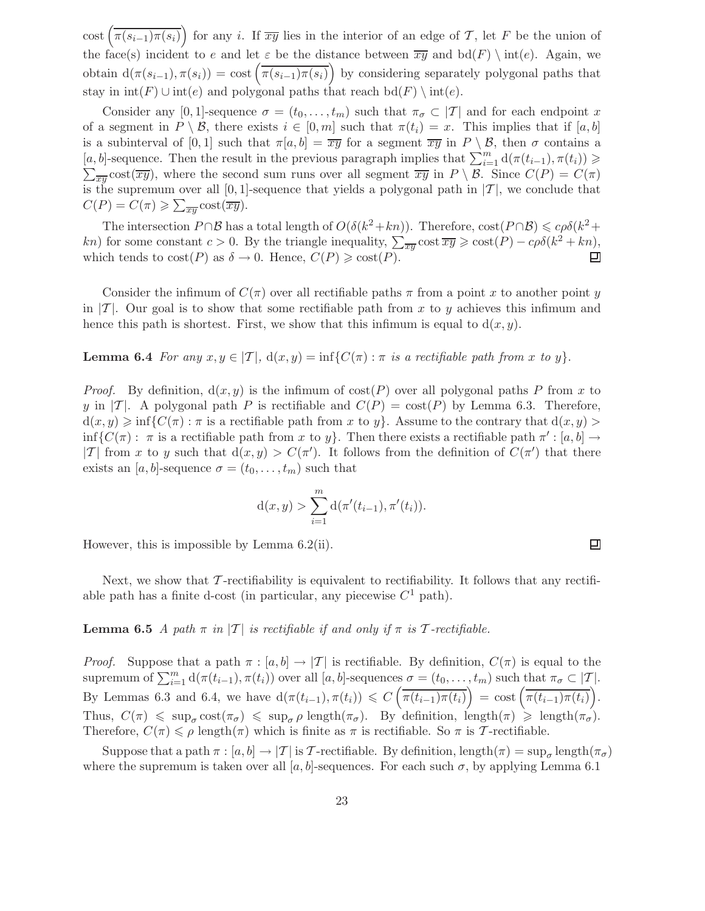cost  $(\overline{\pi(s_{i-1})\pi(s_i)})$  for any i. If  $\overline{xy}$  lies in the interior of an edge of T, let F be the union of the face(s) incident to e and let  $\varepsilon$  be the distance between  $\overline{xy}$  and  $\text{bd}(F) \setminus \text{int}(e)$ . Again, we obtain  $d(\pi(s_{i-1}), \pi(s_i)) = \text{cost}(\overline{\pi(s_{i-1})\pi(s_i)})$  by considering separately polygonal paths that stay in  $\text{int}(F) \cup \text{int}(e)$  and polygonal paths that reach  $\text{bd}(F) \setminus \text{int}(e)$ .

Consider any [0, 1]-sequence  $\sigma = (t_0, \ldots, t_m)$  such that  $\pi_{\sigma} \subset |T|$  and for each endpoint x of a segment in  $P \setminus \mathcal{B}$ , there exists  $i \in [0, m]$  such that  $\pi(t_i) = x$ . This implies that if  $[a, b]$ is a subinterval of [0, 1] such that  $\pi[a, b] = \overline{xy}$  for a segment  $\overline{xy}$  in  $P \setminus \mathcal{B}$ , then  $\sigma$  contains a  $[a, b]$ -sequence. Then the result in the previous paragraph implies that  $\sum_{i=1}^{m} d(\pi(t_{i-1}), \pi(t_i)) \geq$  $\sum_{\overline{xy}} \text{cost}(\overline{xy})$ , where the second sum runs over all segment  $\overline{xy}$  in  $P \setminus \mathcal{B}$ . Since  $C(P) = C(\pi)$ is the supremum over all [0, 1]-sequence that yields a polygonal path in  $|T|$ , we conclude that  $C(P) = C(\pi) \geqslant \sum_{\overline{xy}} \text{cost}(\overline{xy}).$ 

The intersection  $P \cap B$  has a total length of  $O(\delta(k^2 + kn))$ . Therefore,  $\cos(P \cap B) \leqslant c\rho\delta(k^2 + kn)$ kn) for some constant  $c > 0$ . By the triangle inequality,  $\sum_{\overline{xy}} \cot \overline{xy} \geqslant \cot(P) - c\rho\delta(k^2 + kn)$ , which tends to  $cost(P)$  as  $\delta \to 0$ . Hence,  $C(P) \geq cost(P)$ .

Consider the infimum of  $C(\pi)$  over all rectifiable paths  $\pi$  from a point x to another point y in  $|T|$ . Our goal is to show that some rectifiable path from x to y achieves this infimum and hence this path is shortest. First, we show that this infimum is equal to  $d(x, y)$ .

**Lemma 6.4** For any  $x, y \in [T], d(x, y) = \inf\{C(\pi) : \pi \text{ is a rectifiable path from } x \text{ to } y\}.$ 

*Proof.* By definition,  $d(x, y)$  is the infimum of  $cost(P)$  over all polygonal paths P from x to y in |T|. A polygonal path P is rectifiable and  $C(P) = \text{cost}(P)$  by Lemma 6.3. Therefore,  $d(x, y) \geq \inf\{C(\pi) : \pi \text{ is a rectifiable path from } x \text{ to } y\}.$  Assume to the contrary that  $d(x, y) >$  $\inf\{C(\pi): \pi \text{ is a rectifiable path from } x \text{ to } y\}.$  Then there exists a rectifiable path  $\pi': [a, b] \to$ |T| from x to y such that  $d(x, y) > C(\pi')$ . It follows from the definition of  $C(\pi')$  that there exists an [a, b]-sequence  $\sigma = (t_0, \ldots, t_m)$  such that

$$
d(x,y) > \sum_{i=1}^{m} d(\pi'(t_{i-1}), \pi'(t_i)).
$$

However, this is impossible by Lemma 6.2(ii).

Next, we show that  $\mathcal{T}$ -rectifiability is equivalent to rectifiability. It follows that any rectifiable path has a finite d-cost (in particular, any piecewise  $C^1$  path).

## **Lemma 6.5** A path  $\pi$  in  $|T|$  is rectifiable if and only if  $\pi$  is T-rectifiable.

*Proof.* Suppose that a path  $\pi : [a, b] \to |T|$  is rectifiable. By definition,  $C(\pi)$  is equal to the supremum of  $\sum_{i=1}^{m} d(\pi(t_{i-1}), \pi(t_i))$  over all  $[a, b]$ -sequences  $\sigma = (t_0, \ldots, t_m)$  such that  $\pi_{\sigma} \subset |\mathcal{T}|$ . By Lemmas 6.3 and 6.4, we have  $d(\pi(t_{i-1}), \pi(t_i)) \leq C\left(\overline{\pi(t_{i-1})\pi(t_i)}\right) = \text{cost}\left(\overline{\pi(t_{i-1})\pi(t_i)}\right)$ . Thus,  $C(\pi) \leq \sup_{\sigma} \text{cost}(\pi_{\sigma}) \leq \sup_{\sigma} \rho \text{ length}(\pi_{\sigma})$ . By definition, length $(\pi) \geq \text{length}(\pi_{\sigma})$ . Therefore,  $C(\pi) \leq \rho \operatorname{length}(\pi)$  which is finite as  $\pi$  is rectifiable. So  $\pi$  is T-rectifiable.

Suppose that a path  $\pi : [a, b] \to |T|$  is T-rectifiable. By definition, length $(\pi) = \sup_{\sigma}$  length $(\pi_{\sigma})$ where the supremum is taken over all [a, b]-sequences. For each such  $\sigma$ , by applying Lemma 6.1

口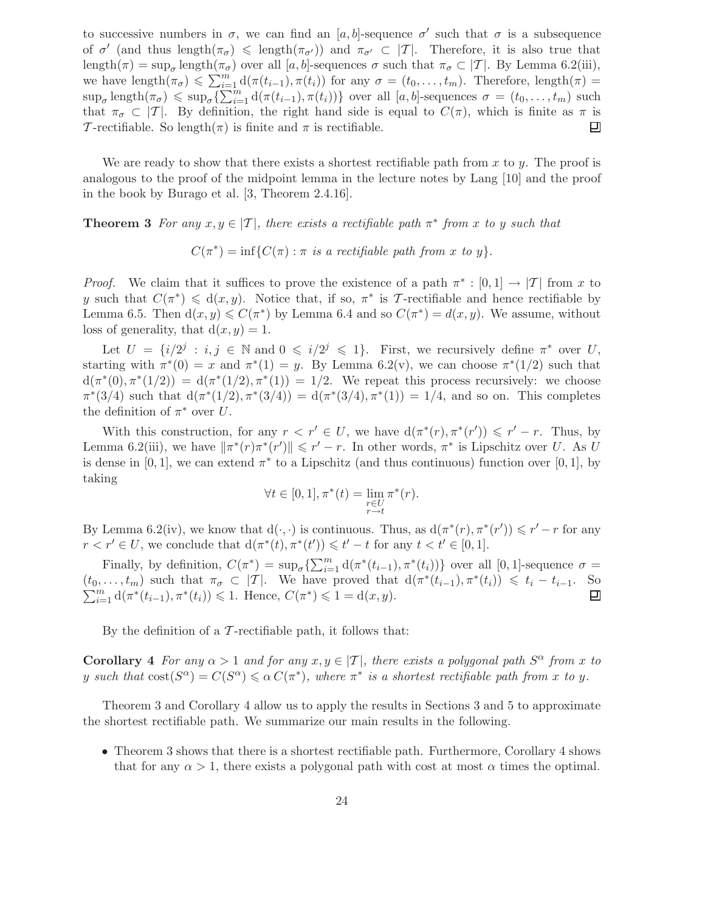to successive numbers in  $\sigma$ , we can find an [a, b]-sequence  $\sigma'$  such that  $\sigma$  is a subsequence of  $\sigma'$  (and thus length $(\pi_{\sigma}) \leq \text{length}(\pi_{\sigma'})$ ) and  $\pi_{\sigma'} \subset |\mathcal{T}|$ . Therefore, it is also true that length( $\pi$ ) = sup<sub> $\sigma$ </sub> length( $\pi$ <sub> $\sigma$ </sub>) over all [a, b]-sequences  $\sigma$  such that  $\pi$ <sub> $\sigma$ </sub>  $\subset$  |T|. By Lemma 6.2(iii), we have  $\text{length}(\pi_{\sigma}) \leq \sum_{i=1}^{m} d(\pi(t_{i-1}), \pi(t_i))$  for any  $\sigma = (t_0, \ldots, t_m)$ . Therefore,  $\text{length}(\pi) =$  $\sup_{\sigma} \text{length}(\pi_{\sigma}) \leqslant \sup_{\sigma} \left\{ \sum_{i=1}^{m} d(\pi(t_{i-1}), \pi(t_i)) \right\}$  over all  $[a, b]$ -sequences  $\sigma = (t_0, \ldots, t_m)$  such that  $\pi_{\sigma} \subset |T|$ . By definition, the right hand side is equal to  $C(\pi)$ , which is finite as  $\pi$  is  $\mathcal{T}$ -rectifiable. So length( $\pi$ ) is finite and  $\pi$  is rectifiable. T-rectifiable. So length( $\pi$ ) is finite and  $\pi$  is rectifiable.

We are ready to show that there exists a shortest rectifiable path from x to y. The proof is analogous to the proof of the midpoint lemma in the lecture notes by Lang [10] and the proof in the book by Burago et al. [3, Theorem 2.4.16].

**Theorem 3** For any  $x, y \in [T]$ , there exists a rectifiable path  $\pi^*$  from x to y such that

 $C(\pi^*) = \inf\{C(\pi) : \pi \text{ is a rectifiable path from } x \text{ to } y\}.$ 

*Proof.* We claim that it suffices to prove the existence of a path  $\pi^* : [0,1] \to |T|$  from x to y such that  $C(\pi^*) \leq d(x, y)$ . Notice that, if so,  $\pi^*$  is T-rectifiable and hence rectifiable by Lemma 6.5. Then  $d(x, y) \leq C(\pi^*)$  by Lemma 6.4 and so  $C(\pi^*) = d(x, y)$ . We assume, without loss of generality, that  $d(x, y) = 1$ .

Let  $U = \{i/2^j : i, j \in \mathbb{N} \text{ and } 0 \leq i/2^j \leq 1\}$ . First, we recursively define  $\pi^*$  over U, starting with  $\pi^*(0) = x$  and  $\pi^*(1) = y$ . By Lemma 6.2(v), we can choose  $\pi^*(1/2)$  such that  $d(\pi^*(0), \pi^*(1/2)) = d(\pi^*(1/2), \pi^*(1)) = 1/2$ . We repeat this process recursively: we choose  $\pi^*(3/4)$  such that  $d(\pi^*(1/2), \pi^*(3/4)) = d(\pi^*(3/4), \pi^*(1)) = 1/4$ , and so on. This completes the definition of  $\pi^*$  over U.

With this construction, for any  $r < r' \in U$ , we have  $d(\pi^*(r), \pi^*(r')) \leq r' - r$ . Thus, by Lemma 6.2(iii), we have  $\|\pi^*(r)\pi^*(r')\| \leq r'-r$ . In other words,  $\pi^*$  is Lipschitz over U. As U is dense in [0, 1], we can extend  $\pi^*$  to a Lipschitz (and thus continuous) function over [0, 1], by taking

$$
\forall t \in [0,1], \pi^*(t) = \lim_{\substack{r \in U \\ r \to t}} \pi^*(r).
$$

By Lemma 6.2(iv), we know that  $d(·, ·)$  is continuous. Thus, as  $d(\pi^*(r), \pi^*(r')) \leq r' - r$  for any  $r < r' \in U$ , we conclude that  $d(\pi^*(t), \pi^*(t')) \leq t' - t$  for any  $t < t' \in [0, 1]$ .

Finally, by definition,  $C(\pi^*) = \sup_{\sigma} \{ \sum_{i=1}^m d(\pi^*(t_{i-1}), \pi^*(t_i)) \}$  over all [0, 1]-sequence  $\sigma =$  $(t_0,\ldots,t_m)$  such that  $\pi_{\sigma} \subset |T|$ . We have proved that  $d(\pi^*(t_{i-1}),\pi^*(t_i)) \leq t_i - t_{i-1}$ . So  $\sum_{i=1}^{m} d(\pi^*(t_{i-1}), \pi^*(t_i)) \leq 1$ . Hence,  $C(\pi^*) \leq 1 = d(x, y)$ .

By the definition of a  $\mathcal T$ -rectifiable path, it follows that:

**Corollary 4** For any  $\alpha > 1$  and for any  $x, y \in |T|$ , there exists a polygonal path  $S^{\alpha}$  from x to y such that  $cost(S^{\alpha}) = C(S^{\alpha}) \leq \alpha C(\pi^*)$ , where  $\pi^*$  is a shortest rectifiable path from x to y.

Theorem 3 and Corollary 4 allow us to apply the results in Sections 3 and 5 to approximate the shortest rectifiable path. We summarize our main results in the following.

• Theorem 3 shows that there is a shortest rectifiable path. Furthermore, Corollary 4 shows that for any  $\alpha > 1$ , there exists a polygonal path with cost at most  $\alpha$  times the optimal.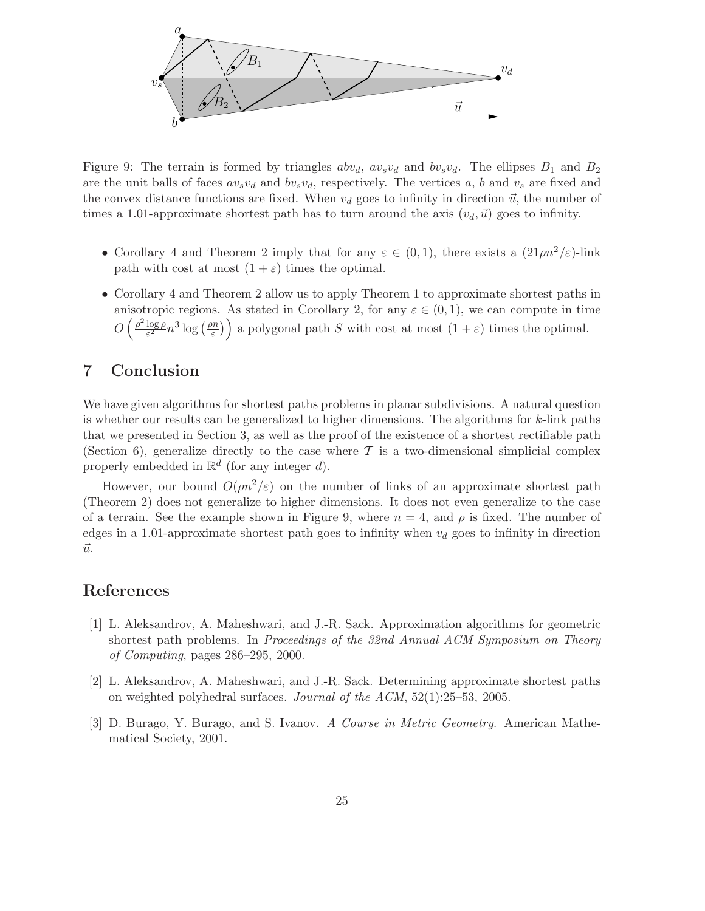

Figure 9: The terrain is formed by triangles  $abv_d$ ,  $av_sv_d$  and  $bv_sv_d$ . The ellipses  $B_1$  and  $B_2$ are the unit balls of faces  $av_s v_d$  and  $bv_s v_d$ , respectively. The vertices a, b and  $v_s$  are fixed and the convex distance functions are fixed. When  $v_d$  goes to infinity in direction  $\vec{u}$ , the number of times a 1.01-approximate shortest path has to turn around the axis  $(v_d, \vec{u})$  goes to infinity.

- Corollary 4 and Theorem 2 imply that for any  $\varepsilon \in (0,1)$ , there exists a  $(21 \rho n^2/\varepsilon)$ -link path with cost at most  $(1 + \varepsilon)$  times the optimal.
- Corollary 4 and Theorem 2 allow us to apply Theorem 1 to approximate shortest paths in anisotropic regions. As stated in Corollary 2, for any  $\varepsilon \in (0,1)$ , we can compute in time  $O\left(\frac{\rho^2 \log \rho}{\varepsilon^2}\right)$  $rac{\log \rho}{\varepsilon^2} n^3 \log \left( \frac{\rho n}{\varepsilon} \right)$  $\left(\frac{m}{\varepsilon}\right)$  a polygonal path S with cost at most  $(1+\varepsilon)$  times the optimal.

## 7 Conclusion

We have given algorithms for shortest paths problems in planar subdivisions. A natural question is whether our results can be generalized to higher dimensions. The algorithms for  $k$ -link paths that we presented in Section 3, as well as the proof of the existence of a shortest rectifiable path (Section 6), generalize directly to the case where  $\mathcal T$  is a two-dimensional simplicial complex properly embedded in  $\mathbb{R}^d$  (for any integer d).

However, our bound  $O(\rho n^2/\varepsilon)$  on the number of links of an approximate shortest path (Theorem 2) does not generalize to higher dimensions. It does not even generalize to the case of a terrain. See the example shown in Figure 9, where  $n = 4$ , and  $\rho$  is fixed. The number of edges in a 1.01-approximate shortest path goes to infinity when  $v_d$  goes to infinity in direction  $\vec{u}$ .

## References

- [1] L. Aleksandrov, A. Maheshwari, and J.-R. Sack. Approximation algorithms for geometric shortest path problems. In Proceedings of the 32nd Annual ACM Symposium on Theory of Computing, pages 286–295, 2000.
- [2] L. Aleksandrov, A. Maheshwari, and J.-R. Sack. Determining approximate shortest paths on weighted polyhedral surfaces. Journal of the ACM, 52(1):25–53, 2005.
- [3] D. Burago, Y. Burago, and S. Ivanov. A Course in Metric Geometry. American Mathematical Society, 2001.